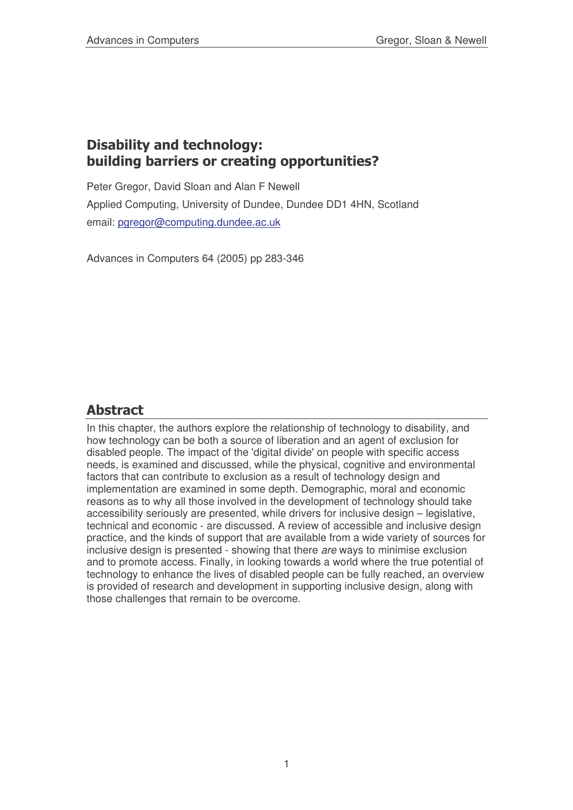# Disability and technology: building barriers or creating opportunities?

Peter Gregor, David Sloan and Alan F Newell Applied Computing, University of Dundee, Dundee DD1 4HN, Scotland email: pgregor@computing.dundee.ac.uk

Advances in Computers 64 (2005) pp 283-346

# **Abstract**

In this chapter, the authors explore the relationship of technology to disability, and how technology can be both a source of liberation and an agent of exclusion for disabled people. The impact of the 'digital divide' on people with specific access needs, is examined and discussed, while the physical, cognitive and environmental factors that can contribute to exclusion as a result of technology design and implementation are examined in some depth. Demographic, moral and economic reasons as to why all those involved in the development of technology should take accessibility seriously are presented, while drivers for inclusive design – legislative, technical and economic - are discussed. A review of accessible and inclusive design practice, and the kinds of support that are available from a wide variety of sources for inclusive design is presented - showing that there *are* ways to minimise exclusion and to promote access. Finally, in looking towards a world where the true potential of technology to enhance the lives of disabled people can be fully reached, an overview is provided of research and development in supporting inclusive design, along with those challenges that remain to be overcome.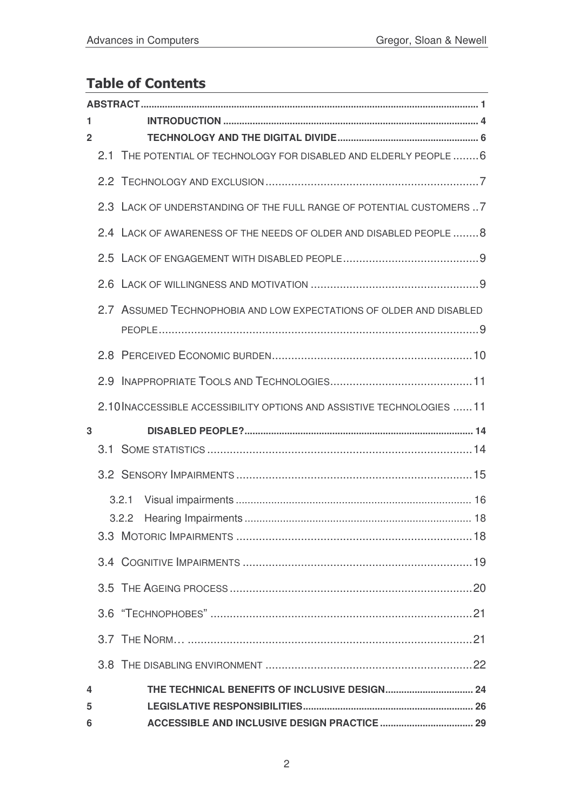## **Table of Contents**

| 1                                                                     |  |                                                                       |  |  |  |  |  |
|-----------------------------------------------------------------------|--|-----------------------------------------------------------------------|--|--|--|--|--|
| $\overline{2}$                                                        |  |                                                                       |  |  |  |  |  |
|                                                                       |  | 2.1 THE POTENTIAL OF TECHNOLOGY FOR DISABLED AND ELDERLY PEOPLE6      |  |  |  |  |  |
|                                                                       |  |                                                                       |  |  |  |  |  |
|                                                                       |  | 2.3 LACK OF UNDERSTANDING OF THE FULL RANGE OF POTENTIAL CUSTOMERS  7 |  |  |  |  |  |
|                                                                       |  | 2.4 LACK OF AWARENESS OF THE NEEDS OF OLDER AND DISABLED PEOPLE  8    |  |  |  |  |  |
|                                                                       |  |                                                                       |  |  |  |  |  |
|                                                                       |  |                                                                       |  |  |  |  |  |
|                                                                       |  | 2.7 ASSUMED TECHNOPHOBIA AND LOW EXPECTATIONS OF OLDER AND DISABLED   |  |  |  |  |  |
|                                                                       |  |                                                                       |  |  |  |  |  |
|                                                                       |  |                                                                       |  |  |  |  |  |
|                                                                       |  |                                                                       |  |  |  |  |  |
| 2.10 INACCESSIBLE ACCESSIBILITY OPTIONS AND ASSISTIVE TECHNOLOGIES 11 |  |                                                                       |  |  |  |  |  |
| 3                                                                     |  |                                                                       |  |  |  |  |  |
|                                                                       |  |                                                                       |  |  |  |  |  |
|                                                                       |  |                                                                       |  |  |  |  |  |
|                                                                       |  | 3.2.1                                                                 |  |  |  |  |  |
|                                                                       |  | 3.2.2                                                                 |  |  |  |  |  |
|                                                                       |  |                                                                       |  |  |  |  |  |
|                                                                       |  |                                                                       |  |  |  |  |  |
|                                                                       |  |                                                                       |  |  |  |  |  |
|                                                                       |  |                                                                       |  |  |  |  |  |
|                                                                       |  |                                                                       |  |  |  |  |  |
|                                                                       |  |                                                                       |  |  |  |  |  |
| 4                                                                     |  |                                                                       |  |  |  |  |  |
|                                                                       |  |                                                                       |  |  |  |  |  |
| 5                                                                     |  |                                                                       |  |  |  |  |  |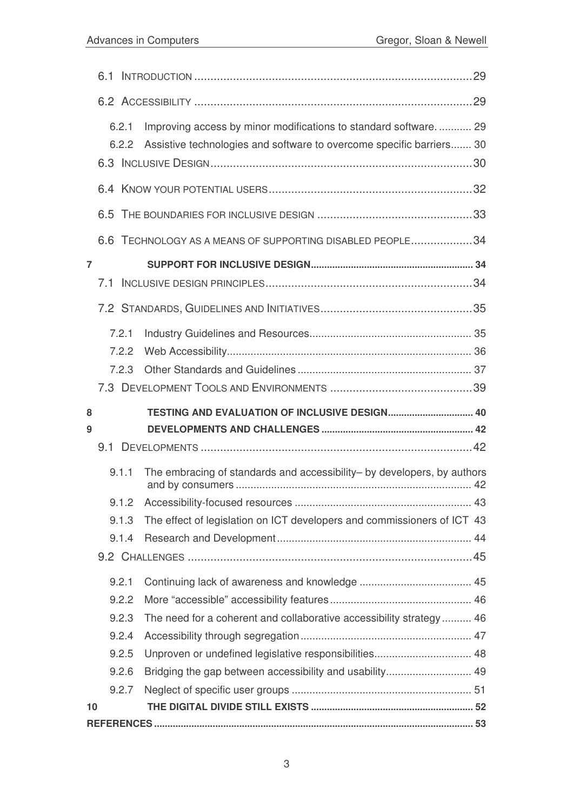|    | 6.2.1 | 6.2.2                                              | Improving access by minor modifications to standard software 29<br>Assistive technologies and software to overcome specific barriers 30 |  |
|----|-------|----------------------------------------------------|-----------------------------------------------------------------------------------------------------------------------------------------|--|
|    |       |                                                    |                                                                                                                                         |  |
|    |       |                                                    |                                                                                                                                         |  |
|    |       |                                                    | 6.6 TECHNOLOGY AS A MEANS OF SUPPORTING DISABLED PEOPLE34                                                                               |  |
| 7  |       |                                                    |                                                                                                                                         |  |
|    |       |                                                    |                                                                                                                                         |  |
|    | 7.2.1 | 7.2.2<br>7.2.3                                     |                                                                                                                                         |  |
|    |       |                                                    |                                                                                                                                         |  |
| 8  |       |                                                    | TESTING AND EVALUATION OF INCLUSIVE DESIGN 40                                                                                           |  |
| 9  |       |                                                    |                                                                                                                                         |  |
|    | 9.1   |                                                    |                                                                                                                                         |  |
|    |       | 9.1.1<br>9.1.2                                     | The embracing of standards and accessibility- by developers, by authors                                                                 |  |
|    |       | 9.1.3                                              | The effect of legislation on ICT developers and commissioners of ICT 43                                                                 |  |
|    |       | 9.1.4                                              |                                                                                                                                         |  |
|    | 9.2.1 | 9.2.2<br>9.2.3<br>9.2.4<br>9.2.5<br>9.2.6<br>9.2.7 | The need for a coherent and collaborative accessibility strategy 46                                                                     |  |
| 10 |       |                                                    |                                                                                                                                         |  |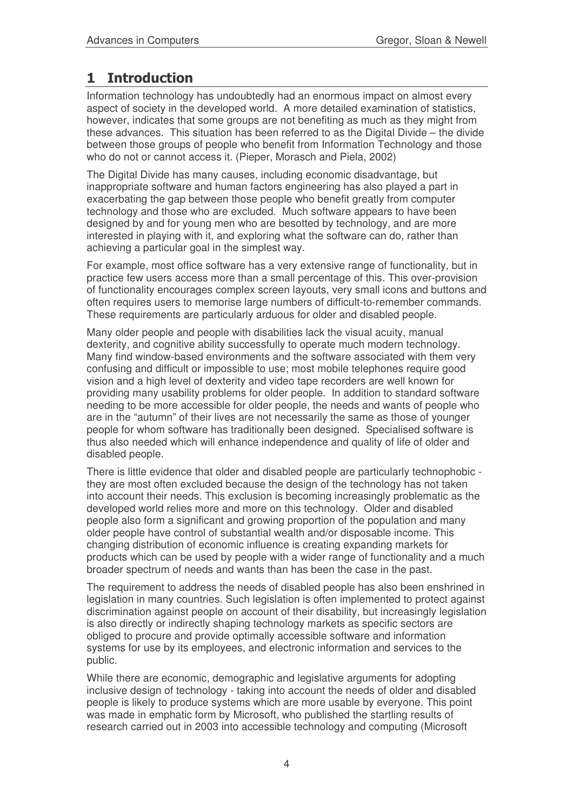# 1 Introduction

Information technology has undoubtedly had an enormous impact on almost every aspect of society in the developed world. A more detailed examination of statistics, however, indicates that some groups are not benefiting as much as they might from these advances. This situation has been referred to as the Digital Divide – the divide between those groups of people who benefit from Information Technology and those who do not or cannot access it. (Pieper, Morasch and Piela, 2002)

The Digital Divide has many causes, including economic disadvantage, but inappropriate software and human factors engineering has also played a part in exacerbating the gap between those people who benefit greatly from computer technology and those who are excluded. Much software appears to have been designed by and for young men who are besotted by technology, and are more interested in playing with it, and exploring what the software can do, rather than achieving a particular goal in the simplest way.

For example, most office software has a very extensive range of functionality, but in practice few users access more than a small percentage of this. This over-provision of functionality encourages complex screen layouts, very small icons and buttons and often requires users to memorise large numbers of difficult-to-remember commands. These requirements are particularly arduous for older and disabled people.

Many older people and people with disabilities lack the visual acuity, manual dexterity, and cognitive ability successfully to operate much modern technology. Many find window-based environments and the software associated with them very confusing and difficult or impossible to use; most mobile telephones require good vision and a high level of dexterity and video tape recorders are well known for providing many usability problems for older people. In addition to standard software needing to be more accessible for older people, the needs and wants of people who are in the "autumn" of their lives are not necessarily the same as those of younger people for whom software has traditionally been designed. Specialised software is thus also needed which will enhance independence and quality of life of older and disabled people.

There is little evidence that older and disabled people are particularly technophobic they are most often excluded because the design of the technology has not taken into account their needs. This exclusion is becoming increasingly problematic as the developed world relies more and more on this technology. Older and disabled people also form a significant and growing proportion of the population and many older people have control of substantial wealth and/or disposable income. This changing distribution of economic influence is creating expanding markets for products which can be used by people with a wider range of functionality and a much broader spectrum of needs and wants than has been the case in the past.

The requirement to address the needs of disabled people has also been enshrined in legislation in many countries. Such legislation is often implemented to protect against discrimination against people on account of their disability, but increasingly legislation is also directly or indirectly shaping technology markets as specific sectors are obliged to procure and provide optimally accessible software and information systems for use by its employees, and electronic information and services to the public.

While there are economic, demographic and legislative arguments for adopting inclusive design of technology - taking into account the needs of older and disabled people is likely to produce systems which are more usable by everyone. This point was made in emphatic form by Microsoft, who published the startling results of research carried out in 2003 into accessible technology and computing (Microsoft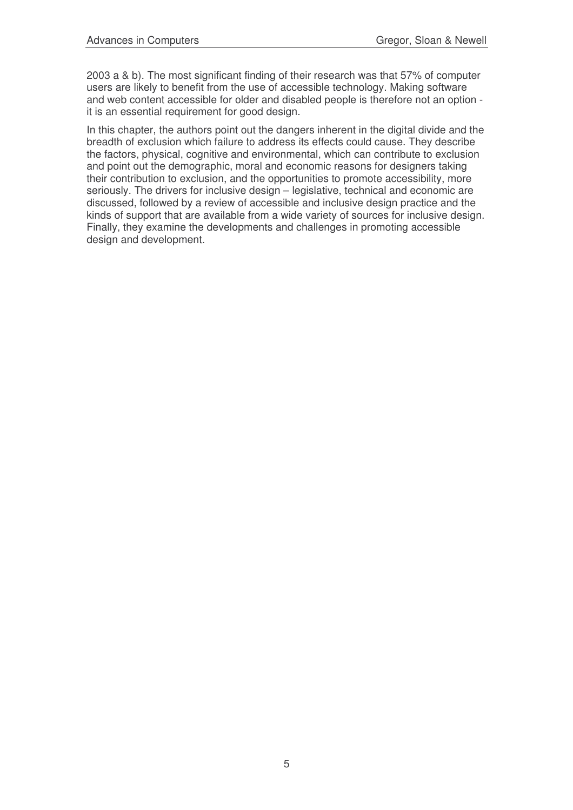2003 a & b). The most significant finding of their research was that 57% of computer users are likely to benefit from the use of accessible technology. Making software and web content accessible for older and disabled people is therefore not an option it is an essential requirement for good design.

In this chapter, the authors point out the dangers inherent in the digital divide and the breadth of exclusion which failure to address its effects could cause. They describe the factors, physical, cognitive and environmental, which can contribute to exclusion and point out the demographic, moral and economic reasons for designers taking their contribution to exclusion, and the opportunities to promote accessibility, more seriously. The drivers for inclusive design – legislative, technical and economic are discussed, followed by a review of accessible and inclusive design practice and the kinds of support that are available from a wide variety of sources for inclusive design. Finally, they examine the developments and challenges in promoting accessible design and development.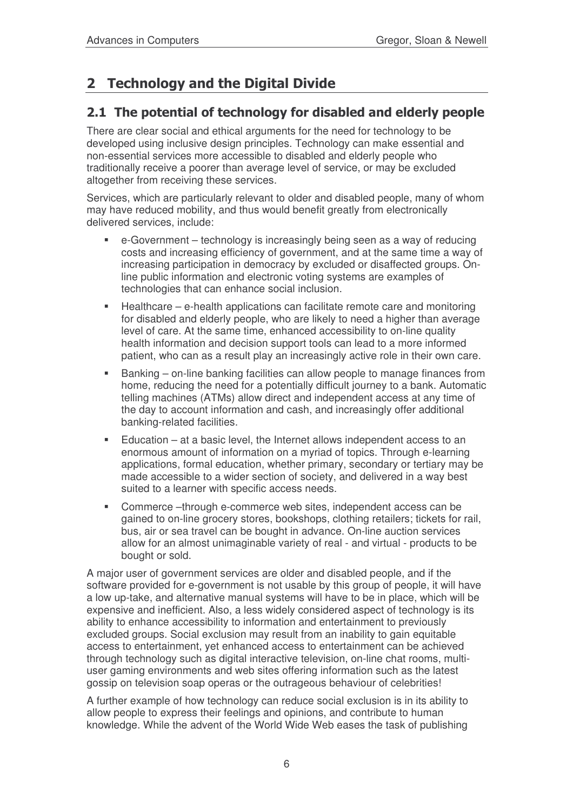# 2 Technology and the Digital Divide

### 2.1 The potential of technology for disabled and elderly people

There are clear social and ethical arguments for the need for technology to be developed using inclusive design principles. Technology can make essential and non-essential services more accessible to disabled and elderly people who traditionally receive a poorer than average level of service, or may be excluded altogether from receiving these services.

Services, which are particularly relevant to older and disabled people, many of whom may have reduced mobility, and thus would benefit greatly from electronically delivered services, include:

- e-Government technology is increasingly being seen as a way of reducing costs and increasing efficiency of government, and at the same time a way of increasing participation in democracy by excluded or disaffected groups. Online public information and electronic voting systems are examples of technologies that can enhance social inclusion.
- Healthcare e-health applications can facilitate remote care and monitoring for disabled and elderly people, who are likely to need a higher than average level of care. At the same time, enhanced accessibility to on-line quality health information and decision support tools can lead to a more informed patient, who can as a result play an increasingly active role in their own care.
- Banking on-line banking facilities can allow people to manage finances from home, reducing the need for a potentially difficult journey to a bank. Automatic telling machines (ATMs) allow direct and independent access at any time of the day to account information and cash, and increasingly offer additional banking-related facilities.
- Education at a basic level, the Internet allows independent access to an enormous amount of information on a myriad of topics. Through e-learning applications, formal education, whether primary, secondary or tertiary may be made accessible to a wider section of society, and delivered in a way best suited to a learner with specific access needs.
- Commerce –through e-commerce web sites, independent access can be gained to on-line grocery stores, bookshops, clothing retailers; tickets for rail, bus, air or sea travel can be bought in advance. On-line auction services allow for an almost unimaginable variety of real - and virtual - products to be bought or sold.

A major user of government services are older and disabled people, and if the software provided for e-government is not usable by this group of people, it will have a low up-take, and alternative manual systems will have to be in place, which will be expensive and inefficient. Also, a less widely considered aspect of technology is its ability to enhance accessibility to information and entertainment to previously excluded groups. Social exclusion may result from an inability to gain equitable access to entertainment, yet enhanced access to entertainment can be achieved through technology such as digital interactive television, on-line chat rooms, multiuser gaming environments and web sites offering information such as the latest gossip on television soap operas or the outrageous behaviour of celebrities!

A further example of how technology can reduce social exclusion is in its ability to allow people to express their feelings and opinions, and contribute to human knowledge. While the advent of the World Wide Web eases the task of publishing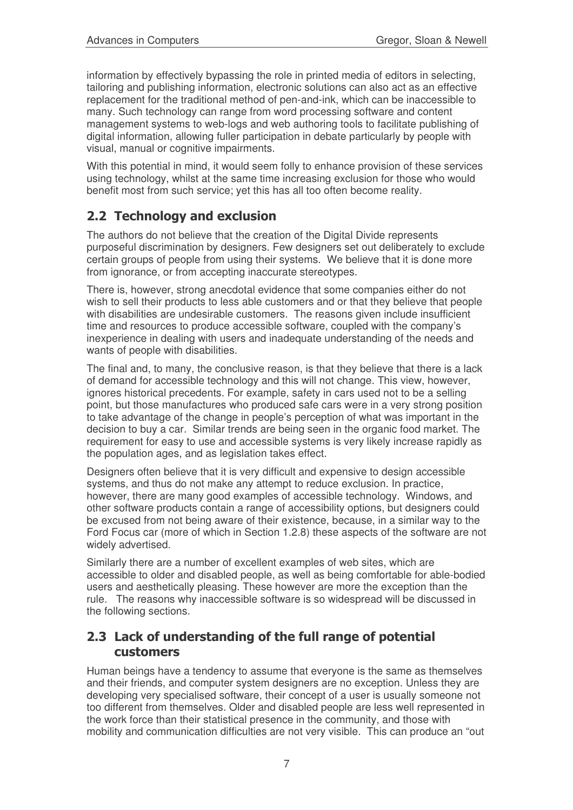information by effectively bypassing the role in printed media of editors in selecting, tailoring and publishing information, electronic solutions can also act as an effective replacement for the traditional method of pen-and-ink, which can be inaccessible to many. Such technology can range from word processing software and content management systems to web-logs and web authoring tools to facilitate publishing of digital information, allowing fuller participation in debate particularly by people with visual, manual or cognitive impairments.

With this potential in mind, it would seem folly to enhance provision of these services using technology, whilst at the same time increasing exclusion for those who would benefit most from such service; yet this has all too often become reality.

# 2.2 Technology and exclusion

The authors do not believe that the creation of the Digital Divide represents purposeful discrimination by designers. Few designers set out deliberately to exclude certain groups of people from using their systems. We believe that it is done more from ignorance, or from accepting inaccurate stereotypes.

There is, however, strong anecdotal evidence that some companies either do not wish to sell their products to less able customers and or that they believe that people with disabilities are undesirable customers. The reasons given include insufficient time and resources to produce accessible software, coupled with the company's inexperience in dealing with users and inadequate understanding of the needs and wants of people with disabilities.

The final and, to many, the conclusive reason, is that they believe that there is a lack of demand for accessible technology and this will not change. This view, however, ignores historical precedents. For example, safety in cars used not to be a selling point, but those manufactures who produced safe cars were in a very strong position to take advantage of the change in people's perception of what was important in the decision to buy a car. Similar trends are being seen in the organic food market. The requirement for easy to use and accessible systems is very likely increase rapidly as the population ages, and as legislation takes effect.

Designers often believe that it is very difficult and expensive to design accessible systems, and thus do not make any attempt to reduce exclusion. In practice, however, there are many good examples of accessible technology. Windows, and other software products contain a range of accessibility options, but designers could be excused from not being aware of their existence, because, in a similar way to the Ford Focus car (more of which in Section 1.2.8) these aspects of the software are not widely advertised.

Similarly there are a number of excellent examples of web sites, which are accessible to older and disabled people, as well as being comfortable for able-bodied users and aesthetically pleasing. These however are more the exception than the rule. The reasons why inaccessible software is so widespread will be discussed in the following sections.

#### 2.3 Lack of understanding of the full range of potential **customers**

Human beings have a tendency to assume that everyone is the same as themselves and their friends, and computer system designers are no exception. Unless they are developing very specialised software, their concept of a user is usually someone not too different from themselves. Older and disabled people are less well represented in the work force than their statistical presence in the community, and those with mobility and communication difficulties are not very visible. This can produce an "out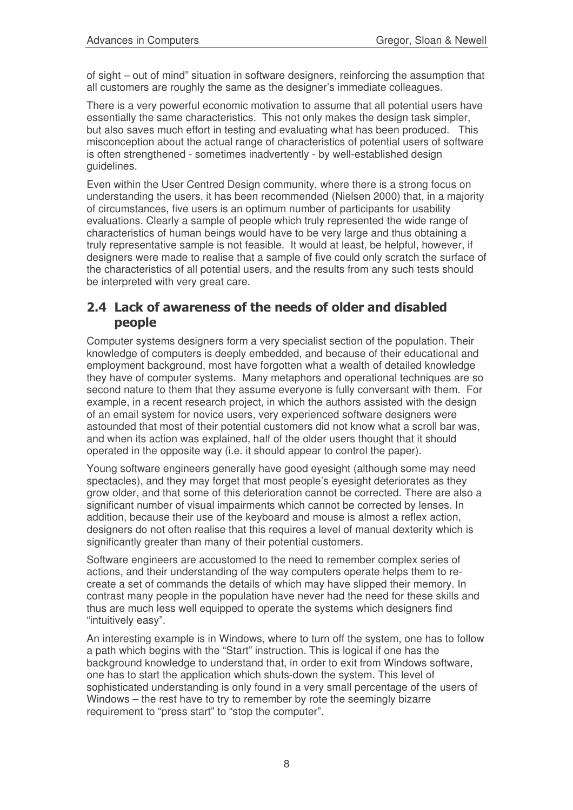of sight – out of mind" situation in software designers, reinforcing the assumption that all customers are roughly the same as the designer's immediate colleagues.

There is a very powerful economic motivation to assume that all potential users have essentially the same characteristics. This not only makes the design task simpler, but also saves much effort in testing and evaluating what has been produced. This misconception about the actual range of characteristics of potential users of software is often strengthened - sometimes inadvertently - by well-established design guidelines.

Even within the User Centred Design community, where there is a strong focus on understanding the users, it has been recommended (Nielsen 2000) that, in a majority of circumstances, five users is an optimum number of participants for usability evaluations. Clearly a sample of people which truly represented the wide range of characteristics of human beings would have to be very large and thus obtaining a truly representative sample is not feasible. It would at least, be helpful, however, if designers were made to realise that a sample of five could only scratch the surface of the characteristics of all potential users, and the results from any such tests should be interpreted with very great care.

#### 2.4 Lack of awareness of the needs of older and disabled people

Computer systems designers form a very specialist section of the population. Their knowledge of computers is deeply embedded, and because of their educational and employment background, most have forgotten what a wealth of detailed knowledge they have of computer systems. Many metaphors and operational techniques are so second nature to them that they assume everyone is fully conversant with them. For example, in a recent research project, in which the authors assisted with the design of an email system for novice users, very experienced software designers were astounded that most of their potential customers did not know what a scroll bar was, and when its action was explained, half of the older users thought that it should operated in the opposite way (i.e. it should appear to control the paper).

Young software engineers generally have good eyesight (although some may need spectacles), and they may forget that most people's eyesight deteriorates as they grow older, and that some of this deterioration cannot be corrected. There are also a significant number of visual impairments which cannot be corrected by lenses. In addition, because their use of the keyboard and mouse is almost a reflex action, designers do not often realise that this requires a level of manual dexterity which is significantly greater than many of their potential customers.

Software engineers are accustomed to the need to remember complex series of actions, and their understanding of the way computers operate helps them to recreate a set of commands the details of which may have slipped their memory. In contrast many people in the population have never had the need for these skills and thus are much less well equipped to operate the systems which designers find "intuitively easy".

An interesting example is in Windows, where to turn off the system, one has to follow a path which begins with the "Start" instruction. This is logical if one has the background knowledge to understand that, in order to exit from Windows software, one has to start the application which shuts-down the system. This level of sophisticated understanding is only found in a very small percentage of the users of Windows – the rest have to try to remember by rote the seemingly bizarre requirement to "press start" to "stop the computer".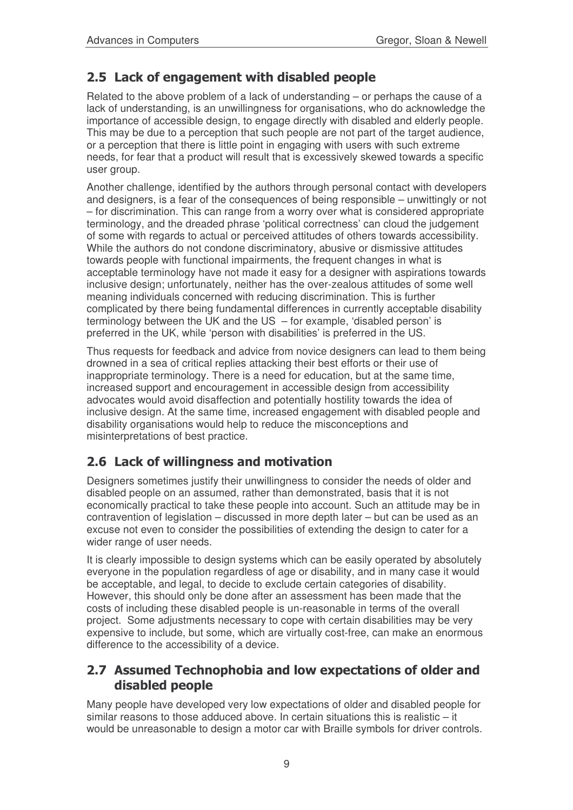## 2.5 Lack of engagement with disabled people

Related to the above problem of a lack of understanding  $-$  or perhaps the cause of a lack of understanding, is an unwillingness for organisations, who do acknowledge the importance of accessible design, to engage directly with disabled and elderly people. This may be due to a perception that such people are not part of the target audience, or a perception that there is little point in engaging with users with such extreme needs, for fear that a product will result that is excessively skewed towards a specific user group.

Another challenge, identified by the authors through personal contact with developers and designers, is a fear of the consequences of being responsible – unwittingly or not – for discrimination. This can range from a worry over what is considered appropriate terminology, and the dreaded phrase 'political correctness' can cloud the judgement of some with regards to actual or perceived attitudes of others towards accessibility. While the authors do not condone discriminatory, abusive or dismissive attitudes towards people with functional impairments, the frequent changes in what is acceptable terminology have not made it easy for a designer with aspirations towards inclusive design; unfortunately, neither has the over-zealous attitudes of some well meaning individuals concerned with reducing discrimination. This is further complicated by there being fundamental differences in currently acceptable disability terminology between the UK and the US – for example, 'disabled person' is preferred in the UK, while 'person with disabilities' is preferred in the US.

Thus requests for feedback and advice from novice designers can lead to them being drowned in a sea of critical replies attacking their best efforts or their use of inappropriate terminology. There is a need for education, but at the same time, increased support and encouragement in accessible design from accessibility advocates would avoid disaffection and potentially hostility towards the idea of inclusive design. At the same time, increased engagement with disabled people and disability organisations would help to reduce the misconceptions and misinterpretations of best practice.

# 2.6 Lack of willingness and motivation

Designers sometimes justify their unwillingness to consider the needs of older and disabled people on an assumed, rather than demonstrated, basis that it is not economically practical to take these people into account. Such an attitude may be in contravention of legislation – discussed in more depth later – but can be used as an excuse not even to consider the possibilities of extending the design to cater for a wider range of user needs.

It is clearly impossible to design systems which can be easily operated by absolutely everyone in the population regardless of age or disability, and in many case it would be acceptable, and legal, to decide to exclude certain categories of disability. However, this should only be done after an assessment has been made that the costs of including these disabled people is un-reasonable in terms of the overall project. Some adjustments necessary to cope with certain disabilities may be very expensive to include, but some, which are virtually cost-free, can make an enormous difference to the accessibility of a device.

### 2.7 Assumed Technophobia and low expectations of older and disabled people

Many people have developed very low expectations of older and disabled people for similar reasons to those adduced above. In certain situations this is realistic – it would be unreasonable to design a motor car with Braille symbols for driver controls.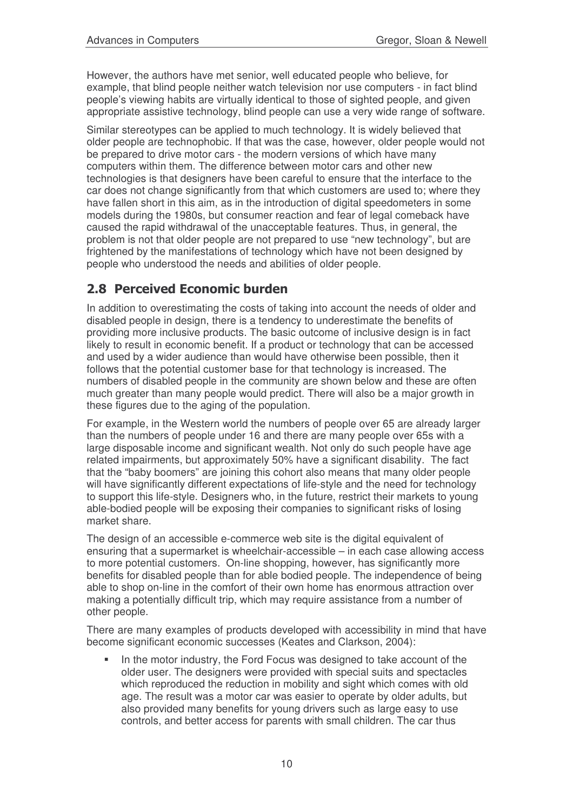However, the authors have met senior, well educated people who believe, for example, that blind people neither watch television nor use computers - in fact blind people's viewing habits are virtually identical to those of sighted people, and given appropriate assistive technology, blind people can use a very wide range of software.

Similar stereotypes can be applied to much technology. It is widely believed that older people are technophobic. If that was the case, however, older people would not be prepared to drive motor cars - the modern versions of which have many computers within them. The difference between motor cars and other new technologies is that designers have been careful to ensure that the interface to the car does not change significantly from that which customers are used to; where they have fallen short in this aim, as in the introduction of digital speedometers in some models during the 1980s, but consumer reaction and fear of legal comeback have caused the rapid withdrawal of the unacceptable features. Thus, in general, the problem is not that older people are not prepared to use "new technology", but are frightened by the manifestations of technology which have not been designed by people who understood the needs and abilities of older people.

## 2.8 Perceived Economic burden

In addition to overestimating the costs of taking into account the needs of older and disabled people in design, there is a tendency to underestimate the benefits of providing more inclusive products. The basic outcome of inclusive design is in fact likely to result in economic benefit. If a product or technology that can be accessed and used by a wider audience than would have otherwise been possible, then it follows that the potential customer base for that technology is increased. The numbers of disabled people in the community are shown below and these are often much greater than many people would predict. There will also be a major growth in these figures due to the aging of the population.

For example, in the Western world the numbers of people over 65 are already larger than the numbers of people under 16 and there are many people over 65s with a large disposable income and significant wealth. Not only do such people have age related impairments, but approximately 50% have a significant disability. The fact that the "baby boomers" are joining this cohort also means that many older people will have significantly different expectations of life-style and the need for technology to support this life-style. Designers who, in the future, restrict their markets to young able-bodied people will be exposing their companies to significant risks of losing market share.

The design of an accessible e-commerce web site is the digital equivalent of ensuring that a supermarket is wheelchair-accessible – in each case allowing access to more potential customers. On-line shopping, however, has significantly more benefits for disabled people than for able bodied people. The independence of being able to shop on-line in the comfort of their own home has enormous attraction over making a potentially difficult trip, which may require assistance from a number of other people.

There are many examples of products developed with accessibility in mind that have become significant economic successes (Keates and Clarkson, 2004):

 In the motor industry, the Ford Focus was designed to take account of the older user. The designers were provided with special suits and spectacles which reproduced the reduction in mobility and sight which comes with old age. The result was a motor car was easier to operate by older adults, but also provided many benefits for young drivers such as large easy to use controls, and better access for parents with small children. The car thus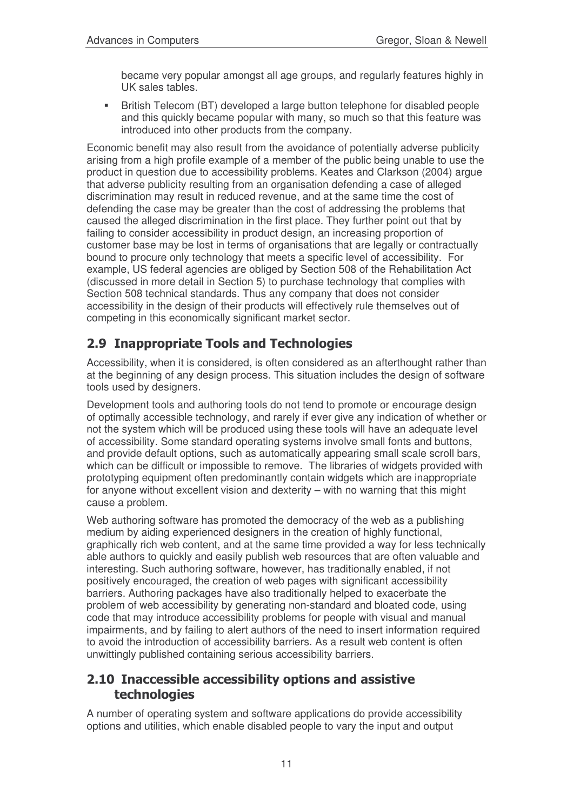became very popular amongst all age groups, and regularly features highly in UK sales tables.

 British Telecom (BT) developed a large button telephone for disabled people and this quickly became popular with many, so much so that this feature was introduced into other products from the company.

Economic benefit may also result from the avoidance of potentially adverse publicity arising from a high profile example of a member of the public being unable to use the product in question due to accessibility problems. Keates and Clarkson (2004) argue that adverse publicity resulting from an organisation defending a case of alleged discrimination may result in reduced revenue, and at the same time the cost of defending the case may be greater than the cost of addressing the problems that caused the alleged discrimination in the first place. They further point out that by failing to consider accessibility in product design, an increasing proportion of customer base may be lost in terms of organisations that are legally or contractually bound to procure only technology that meets a specific level of accessibility. For example, US federal agencies are obliged by Section 508 of the Rehabilitation Act (discussed in more detail in Section 5) to purchase technology that complies with Section 508 technical standards. Thus any company that does not consider accessibility in the design of their products will effectively rule themselves out of competing in this economically significant market sector.

## 2.9 Inappropriate Tools and Technologies

Accessibility, when it is considered, is often considered as an afterthought rather than at the beginning of any design process. This situation includes the design of software tools used by designers.

Development tools and authoring tools do not tend to promote or encourage design of optimally accessible technology, and rarely if ever give any indication of whether or not the system which will be produced using these tools will have an adequate level of accessibility. Some standard operating systems involve small fonts and buttons, and provide default options, such as automatically appearing small scale scroll bars, which can be difficult or impossible to remove. The libraries of widgets provided with prototyping equipment often predominantly contain widgets which are inappropriate for anyone without excellent vision and dexterity – with no warning that this might cause a problem.

Web authoring software has promoted the democracy of the web as a publishing medium by aiding experienced designers in the creation of highly functional, graphically rich web content, and at the same time provided a way for less technically able authors to quickly and easily publish web resources that are often valuable and interesting. Such authoring software, however, has traditionally enabled, if not positively encouraged, the creation of web pages with significant accessibility barriers. Authoring packages have also traditionally helped to exacerbate the problem of web accessibility by generating non-standard and bloated code, using code that may introduce accessibility problems for people with visual and manual impairments, and by failing to alert authors of the need to insert information required to avoid the introduction of accessibility barriers. As a result web content is often unwittingly published containing serious accessibility barriers.

#### 2.10 Inaccessible accessibility options and assistive technologies

A number of operating system and software applications do provide accessibility options and utilities, which enable disabled people to vary the input and output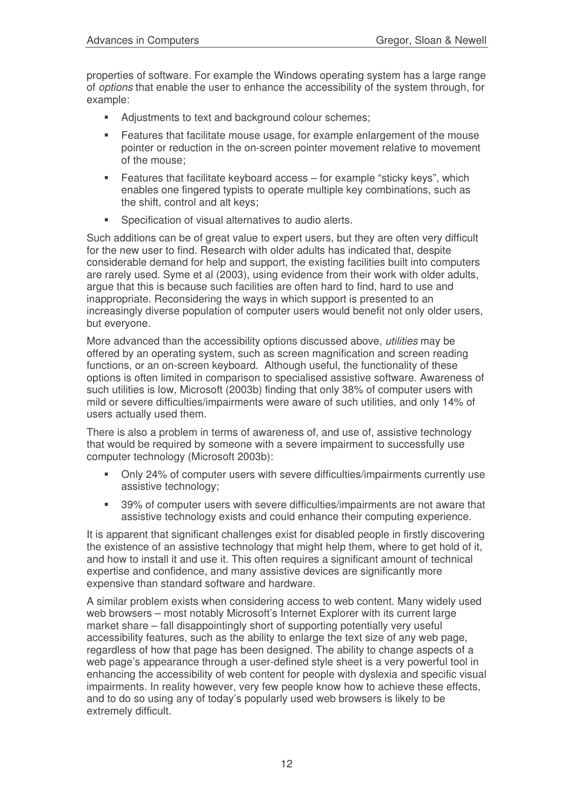properties of software. For example the Windows operating system has a large range of *options* that enable the user to enhance the accessibility of the system through, for example:

- Adjustments to text and background colour schemes;
- Features that facilitate mouse usage, for example enlargement of the mouse pointer or reduction in the on-screen pointer movement relative to movement of the mouse;
- Features that facilitate keyboard access for example "sticky keys", which enables one fingered typists to operate multiple key combinations, such as the shift, control and alt keys;
- **Specification of visual alternatives to audio alerts.**

Such additions can be of great value to expert users, but they are often very difficult for the new user to find. Research with older adults has indicated that, despite considerable demand for help and support, the existing facilities built into computers are rarely used. Syme et al (2003), using evidence from their work with older adults, argue that this is because such facilities are often hard to find, hard to use and inappropriate. Reconsidering the ways in which support is presented to an increasingly diverse population of computer users would benefit not only older users, but everyone.

More advanced than the accessibility options discussed above, *utilities* may be offered by an operating system, such as screen magnification and screen reading functions, or an on-screen keyboard. Although useful, the functionality of these options is often limited in comparison to specialised assistive software. Awareness of such utilities is low, Microsoft (2003b) finding that only 38% of computer users with mild or severe difficulties/impairments were aware of such utilities, and only 14% of users actually used them.

There is also a problem in terms of awareness of, and use of, assistive technology that would be required by someone with a severe impairment to successfully use computer technology (Microsoft 2003b):

- Only 24% of computer users with severe difficulties/impairments currently use assistive technology;
- <sup>39%</sup> of computer users with severe difficulties/impairments are not aware that assistive technology exists and could enhance their computing experience.

It is apparent that significant challenges exist for disabled people in firstly discovering the existence of an assistive technology that might help them, where to get hold of it, and how to install it and use it. This often requires a significant amount of technical expertise and confidence, and many assistive devices are significantly more expensive than standard software and hardware.

A similar problem exists when considering access to web content. Many widely used web browsers – most notably Microsoft's Internet Explorer with its current large market share – fall disappointingly short of supporting potentially very useful accessibility features, such as the ability to enlarge the text size of any web page, regardless of how that page has been designed. The ability to change aspects of a web page's appearance through a user-defined style sheet is a very powerful tool in enhancing the accessibility of web content for people with dyslexia and specific visual impairments. In reality however, very few people know how to achieve these effects, and to do so using any of today's popularly used web browsers is likely to be extremely difficult.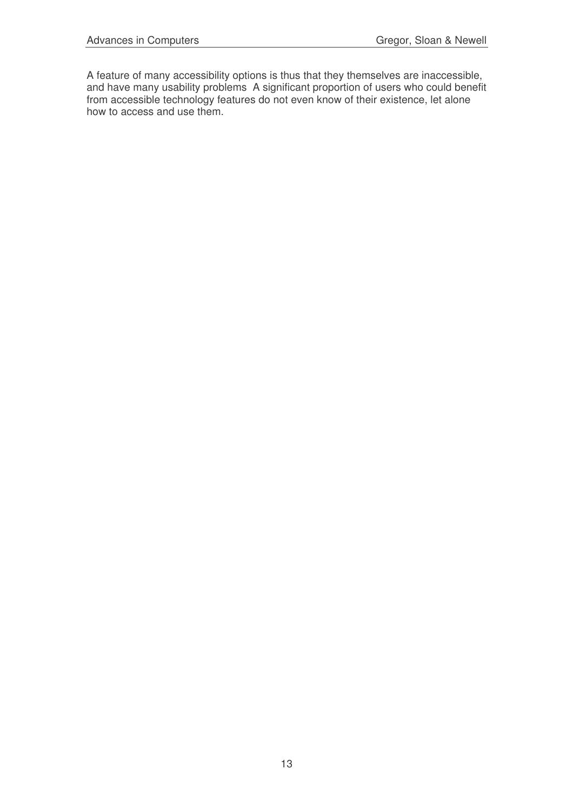A feature of many accessibility options is thus that they themselves are inaccessible, and have many usability problems A significant proportion of users who could benefit from accessible technology features do not even know of their existence, let alone how to access and use them.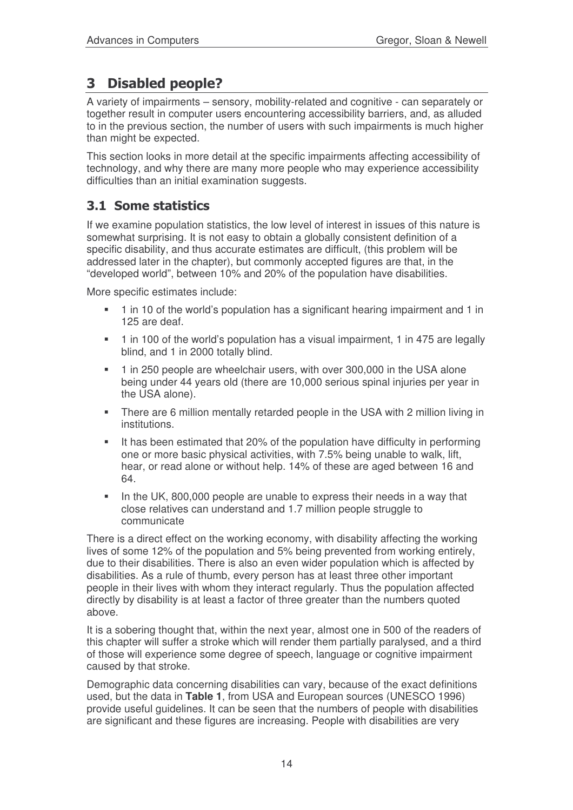# 3 Disabled people?

A variety of impairments – sensory, mobility-related and cognitive - can separately or together result in computer users encountering accessibility barriers, and, as alluded to in the previous section, the number of users with such impairments is much higher than might be expected.

This section looks in more detail at the specific impairments affecting accessibility of technology, and why there are many more people who may experience accessibility difficulties than an initial examination suggests.

### 3.1 Some statistics

If we examine population statistics, the low level of interest in issues of this nature is somewhat surprising. It is not easy to obtain a globally consistent definition of a specific disability, and thus accurate estimates are difficult, (this problem will be addressed later in the chapter), but commonly accepted figures are that, in the "developed world", between 10% and 20% of the population have disabilities.

More specific estimates include:

- <sup>1</sup> 1 in 10 of the world's population has a significant hearing impairment and 1 in 125 are deaf.
- 1 in 100 of the world's population has a visual impairment, 1 in 475 are legally blind, and 1 in 2000 totally blind.
- 1 in 250 people are wheelchair users, with over 300,000 in the USA alone being under 44 years old (there are 10,000 serious spinal injuries per year in the USA alone).
- There are 6 million mentally retarded people in the USA with 2 million living in institutions.
- It has been estimated that 20% of the population have difficulty in performing one or more basic physical activities, with 7.5% being unable to walk, lift, hear, or read alone or without help. 14% of these are aged between 16 and 64.
- In the UK, 800,000 people are unable to express their needs in a way that close relatives can understand and 1.7 million people struggle to communicate

There is a direct effect on the working economy, with disability affecting the working lives of some 12% of the population and 5% being prevented from working entirely, due to their disabilities. There is also an even wider population which is affected by disabilities. As a rule of thumb, every person has at least three other important people in their lives with whom they interact regularly. Thus the population affected directly by disability is at least a factor of three greater than the numbers quoted above.

It is a sobering thought that, within the next year, almost one in 500 of the readers of this chapter will suffer a stroke which will render them partially paralysed, and a third of those will experience some degree of speech, language or cognitive impairment caused by that stroke.

Demographic data concerning disabilities can vary, because of the exact definitions used, but the data in **Table 1**, from USA and European sources (UNESCO 1996) provide useful guidelines. It can be seen that the numbers of people with disabilities are significant and these figures are increasing. People with disabilities are very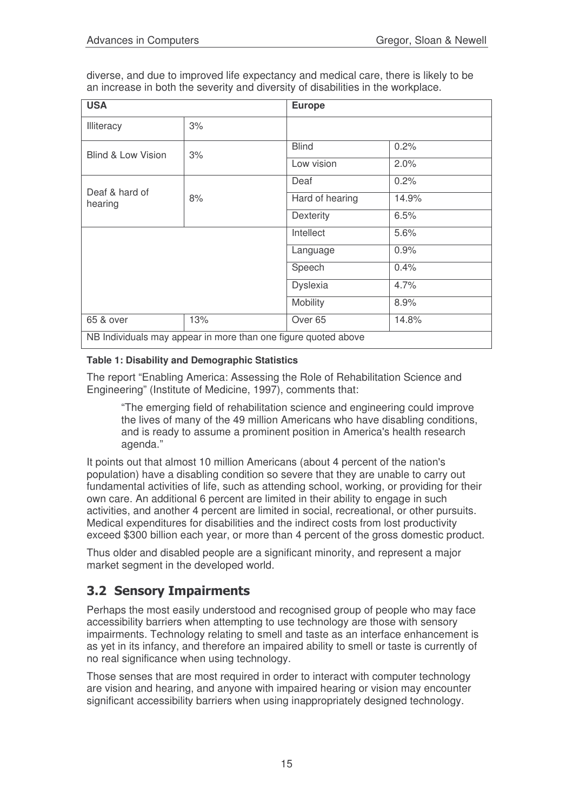diverse, and due to improved life expectancy and medical care, there is likely to be an increase in both the severity and diversity of disabilities in the workplace.

| <b>USA</b>                                                     |     | <b>Europe</b>      |       |  |  |  |
|----------------------------------------------------------------|-----|--------------------|-------|--|--|--|
| Illiteracy                                                     | 3%  |                    |       |  |  |  |
| Blind & Low Vision                                             | 3%  | <b>Blind</b>       | 0.2%  |  |  |  |
|                                                                |     | Low vision         | 2.0%  |  |  |  |
|                                                                | 8%  | Deaf               | 0.2%  |  |  |  |
| Deaf & hard of<br>hearing                                      |     | Hard of hearing    | 14.9% |  |  |  |
|                                                                |     | Dexterity          | 6.5%  |  |  |  |
|                                                                |     | Intellect          | 5.6%  |  |  |  |
|                                                                |     | Language           | 0.9%  |  |  |  |
|                                                                |     | Speech             | 0.4%  |  |  |  |
|                                                                |     | Dyslexia           | 4.7%  |  |  |  |
|                                                                |     | Mobility           | 8.9%  |  |  |  |
| 65 & over                                                      | 13% | Over <sub>65</sub> | 14.8% |  |  |  |
| NB Individuals may appear in more than one figure quoted above |     |                    |       |  |  |  |

#### **Table 1: Disability and Demographic Statistics**

The report "Enabling America: Assessing the Role of Rehabilitation Science and Engineering" (Institute of Medicine, 1997), comments that:

"The emerging field of rehabilitation science and engineering could improve the lives of many of the 49 million Americans who have disabling conditions, and is ready to assume a prominent position in America's health research agenda."

It points out that almost 10 million Americans (about 4 percent of the nation's population) have a disabling condition so severe that they are unable to carry out fundamental activities of life, such as attending school, working, or providing for their own care. An additional 6 percent are limited in their ability to engage in such activities, and another 4 percent are limited in social, recreational, or other pursuits. Medical expenditures for disabilities and the indirect costs from lost productivity exceed \$300 billion each year, or more than 4 percent of the gross domestic product.

Thus older and disabled people are a significant minority, and represent a major market segment in the developed world.

### 3.2 Sensory Impairments

Perhaps the most easily understood and recognised group of people who may face accessibility barriers when attempting to use technology are those with sensory impairments. Technology relating to smell and taste as an interface enhancement is as yet in its infancy, and therefore an impaired ability to smell or taste is currently of no real significance when using technology.

Those senses that are most required in order to interact with computer technology are vision and hearing, and anyone with impaired hearing or vision may encounter significant accessibility barriers when using inappropriately designed technology.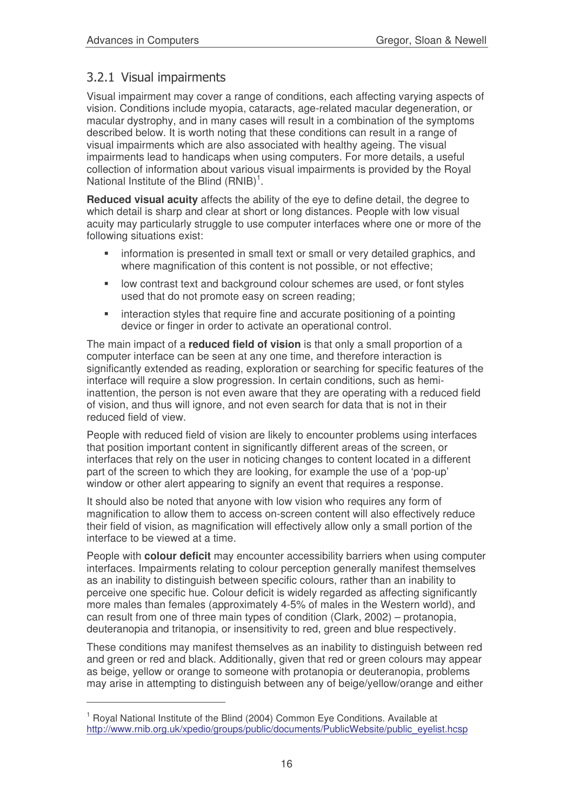### 3.2.1 Visual impairments

Visual impairment may cover a range of conditions, each affecting varying aspects of vision. Conditions include myopia, cataracts, age-related macular degeneration, or macular dystrophy, and in many cases will result in a combination of the symptoms described below. It is worth noting that these conditions can result in a range of visual impairments which are also associated with healthy ageing. The visual impairments lead to handicaps when using computers. For more details, a useful collection of information about various visual impairments is provided by the Royal National Institute of the Blind  $(RNIB)^1$ .

**Reduced visual acuity** affects the ability of the eye to define detail, the degree to which detail is sharp and clear at short or long distances. People with low visual acuity may particularly struggle to use computer interfaces where one or more of the following situations exist:

- information is presented in small text or small or very detailed graphics, and where magnification of this content is not possible, or not effective;
- **IDED** low contrast text and background colour schemes are used, or font styles used that do not promote easy on screen reading;
- **EXECT** interaction styles that require fine and accurate positioning of a pointing device or finger in order to activate an operational control.

The main impact of a **reduced field of vision** is that only a small proportion of a computer interface can be seen at any one time, and therefore interaction is significantly extended as reading, exploration or searching for specific features of the interface will require a slow progression. In certain conditions, such as hemiinattention, the person is not even aware that they are operating with a reduced field of vision, and thus will ignore, and not even search for data that is not in their reduced field of view.

People with reduced field of vision are likely to encounter problems using interfaces that position important content in significantly different areas of the screen, or interfaces that rely on the user in noticing changes to content located in a different part of the screen to which they are looking, for example the use of a 'pop-up' window or other alert appearing to signify an event that requires a response.

It should also be noted that anyone with low vision who requires any form of magnification to allow them to access on-screen content will also effectively reduce their field of vision, as magnification will effectively allow only a small portion of the interface to be viewed at a time.

People with **colour deficit** may encounter accessibility barriers when using computer interfaces. Impairments relating to colour perception generally manifest themselves as an inability to distinguish between specific colours, rather than an inability to perceive one specific hue. Colour deficit is widely regarded as affecting significantly more males than females (approximately 4-5% of males in the Western world), and can result from one of three main types of condition (Clark, 2002) – protanopia, deuteranopia and tritanopia, or insensitivity to red, green and blue respectively.

These conditions may manifest themselves as an inability to distinguish between red and green or red and black. Additionally, given that red or green colours may appear as beige, yellow or orange to someone with protanopia or deuteranopia, problems may arise in attempting to distinguish between any of beige/yellow/orange and either

 $1$  Royal National Institute of the Blind (2004) Common Eve Conditions. Available at http://www.rnib.org.uk/xpedio/groups/public/documents/PublicWebsite/public\_eyelist.hcsp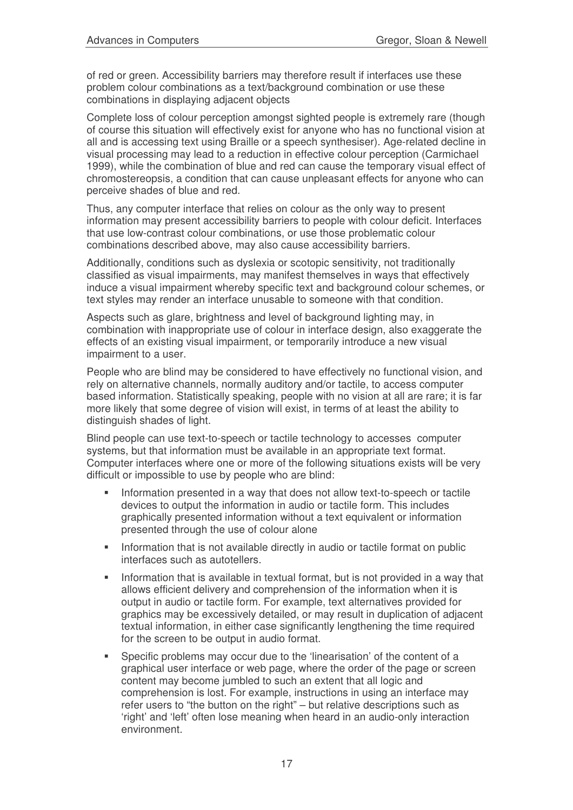of red or green. Accessibility barriers may therefore result if interfaces use these problem colour combinations as a text/background combination or use these combinations in displaying adjacent objects

Complete loss of colour perception amongst sighted people is extremely rare (though of course this situation will effectively exist for anyone who has no functional vision at all and is accessing text using Braille or a speech synthesiser). Age-related decline in visual processing may lead to a reduction in effective colour perception (Carmichael 1999), while the combination of blue and red can cause the temporary visual effect of chromostereopsis, a condition that can cause unpleasant effects for anyone who can perceive shades of blue and red.

Thus, any computer interface that relies on colour as the only way to present information may present accessibility barriers to people with colour deficit. Interfaces that use low-contrast colour combinations, or use those problematic colour combinations described above, may also cause accessibility barriers.

Additionally, conditions such as dyslexia or scotopic sensitivity, not traditionally classified as visual impairments, may manifest themselves in ways that effectively induce a visual impairment whereby specific text and background colour schemes, or text styles may render an interface unusable to someone with that condition.

Aspects such as glare, brightness and level of background lighting may, in combination with inappropriate use of colour in interface design, also exaggerate the effects of an existing visual impairment, or temporarily introduce a new visual impairment to a user.

People who are blind may be considered to have effectively no functional vision, and rely on alternative channels, normally auditory and/or tactile, to access computer based information. Statistically speaking, people with no vision at all are rare; it is far more likely that some degree of vision will exist, in terms of at least the ability to distinguish shades of light.

Blind people can use text-to-speech or tactile technology to accesses computer systems, but that information must be available in an appropriate text format. Computer interfaces where one or more of the following situations exists will be very difficult or impossible to use by people who are blind:

- Information presented in a way that does not allow text-to-speech or tactile devices to output the information in audio or tactile form. This includes graphically presented information without a text equivalent or information presented through the use of colour alone
- Information that is not available directly in audio or tactile format on public interfaces such as autotellers.
- Information that is available in textual format, but is not provided in a way that allows efficient delivery and comprehension of the information when it is output in audio or tactile form. For example, text alternatives provided for graphics may be excessively detailed, or may result in duplication of adjacent textual information, in either case significantly lengthening the time required for the screen to be output in audio format.
- Specific problems may occur due to the 'linearisation' of the content of a graphical user interface or web page, where the order of the page or screen content may become jumbled to such an extent that all logic and comprehension is lost. For example, instructions in using an interface may refer users to "the button on the right" – but relative descriptions such as 'right' and 'left' often lose meaning when heard in an audio-only interaction environment.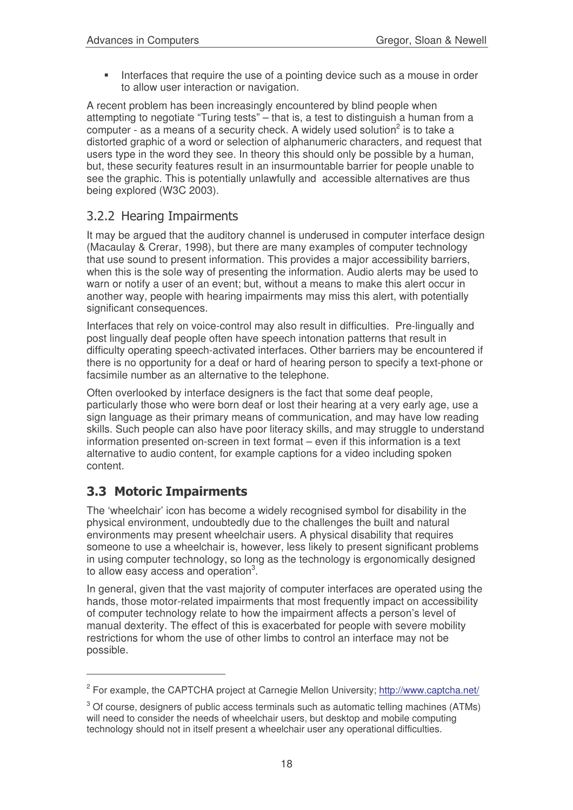Interfaces that require the use of a pointing device such as a mouse in order to allow user interaction or navigation.

A recent problem has been increasingly encountered by blind people when attempting to negotiate "Turing tests" – that is, a test to distinguish a human from a computer - as a means of a security check. A widely used solution<sup>2</sup> is to take a distorted graphic of a word or selection of alphanumeric characters, and request that users type in the word they see. In theory this should only be possible by a human, but, these security features result in an insurmountable barrier for people unable to see the graphic. This is potentially unlawfully and accessible alternatives are thus being explored (W3C 2003).

#### 3.2.2 Hearing Impairments

It may be argued that the auditory channel is underused in computer interface design (Macaulay & Crerar, 1998), but there are many examples of computer technology that use sound to present information. This provides a major accessibility barriers, when this is the sole way of presenting the information. Audio alerts may be used to warn or notify a user of an event; but, without a means to make this alert occur in another way, people with hearing impairments may miss this alert, with potentially significant consequences.

Interfaces that rely on voice-control may also result in difficulties. Pre-lingually and post lingually deaf people often have speech intonation patterns that result in difficulty operating speech-activated interfaces. Other barriers may be encountered if there is no opportunity for a deaf or hard of hearing person to specify a text-phone or facsimile number as an alternative to the telephone.

Often overlooked by interface designers is the fact that some deaf people, particularly those who were born deaf or lost their hearing at a very early age, use a sign language as their primary means of communication, and may have low reading skills. Such people can also have poor literacy skills, and may struggle to understand information presented on-screen in text format – even if this information is a text alternative to audio content, for example captions for a video including spoken content.

# 3.3 Motoric Impairments

The 'wheelchair' icon has become a widely recognised symbol for disability in the physical environment, undoubtedly due to the challenges the built and natural environments may present wheelchair users. A physical disability that requires someone to use a wheelchair is, however, less likely to present significant problems in using computer technology, so long as the technology is ergonomically designed to allow easy access and operation<sup>3</sup>.

In general, given that the vast majority of computer interfaces are operated using the hands, those motor-related impairments that most frequently impact on accessibility of computer technology relate to how the impairment affects a person's level of manual dexterity. The effect of this is exacerbated for people with severe mobility restrictions for whom the use of other limbs to control an interface may not be possible.

<sup>&</sup>lt;sup>2</sup> For example, the CAPTCHA project at Carnegie Mellon University; http://www.captcha.net/

<sup>&</sup>lt;sup>3</sup> Of course, designers of public access terminals such as automatic telling machines (ATMs) will need to consider the needs of wheelchair users, but desktop and mobile computing technology should not in itself present a wheelchair user any operational difficulties.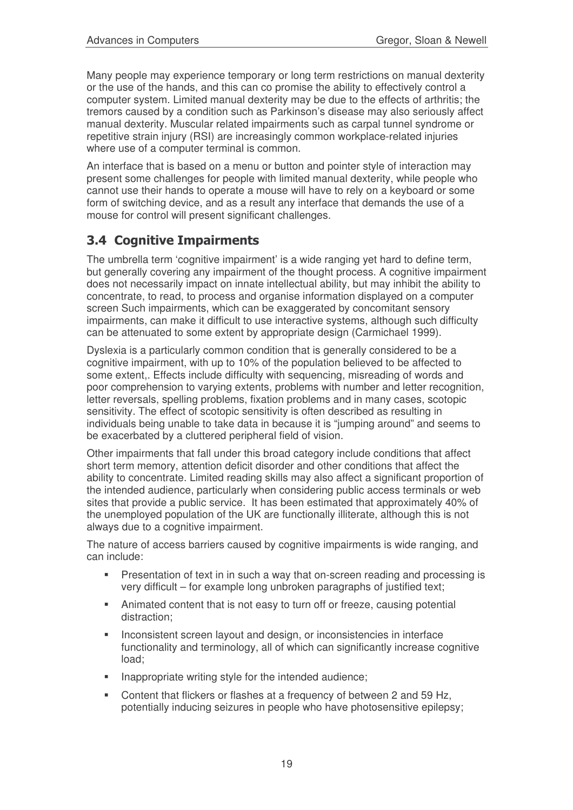Many people may experience temporary or long term restrictions on manual dexterity or the use of the hands, and this can co promise the ability to effectively control a computer system. Limited manual dexterity may be due to the effects of arthritis; the tremors caused by a condition such as Parkinson's disease may also seriously affect manual dexterity. Muscular related impairments such as carpal tunnel syndrome or repetitive strain injury (RSI) are increasingly common workplace-related injuries where use of a computer terminal is common.

An interface that is based on a menu or button and pointer style of interaction may present some challenges for people with limited manual dexterity, while people who cannot use their hands to operate a mouse will have to rely on a keyboard or some form of switching device, and as a result any interface that demands the use of a mouse for control will present significant challenges.

# 3.4 Cognitive Impairments

The umbrella term 'cognitive impairment' is a wide ranging yet hard to define term, but generally covering any impairment of the thought process. A cognitive impairment does not necessarily impact on innate intellectual ability, but may inhibit the ability to concentrate, to read, to process and organise information displayed on a computer screen Such impairments, which can be exaggerated by concomitant sensory impairments, can make it difficult to use interactive systems, although such difficulty can be attenuated to some extent by appropriate design (Carmichael 1999).

Dyslexia is a particularly common condition that is generally considered to be a cognitive impairment, with up to 10% of the population believed to be affected to some extent,. Effects include difficulty with sequencing, misreading of words and poor comprehension to varying extents, problems with number and letter recognition, letter reversals, spelling problems, fixation problems and in many cases, scotopic sensitivity. The effect of scotopic sensitivity is often described as resulting in individuals being unable to take data in because it is "jumping around" and seems to be exacerbated by a cluttered peripheral field of vision.

Other impairments that fall under this broad category include conditions that affect short term memory, attention deficit disorder and other conditions that affect the ability to concentrate. Limited reading skills may also affect a significant proportion of the intended audience, particularly when considering public access terminals or web sites that provide a public service. It has been estimated that approximately 40% of the unemployed population of the UK are functionally illiterate, although this is not always due to a cognitive impairment.

The nature of access barriers caused by cognitive impairments is wide ranging, and can include:

- Presentation of text in in such a way that on-screen reading and processing is very difficult – for example long unbroken paragraphs of justified text;
- Animated content that is not easy to turn off or freeze, causing potential distraction;
- **Inconsistent screen layout and design, or inconsistencies in interface** functionality and terminology, all of which can significantly increase cognitive load;
- **Inappropriate writing style for the intended audience;**
- Content that flickers or flashes at a frequency of between 2 and 59 Hz, potentially inducing seizures in people who have photosensitive epilepsy;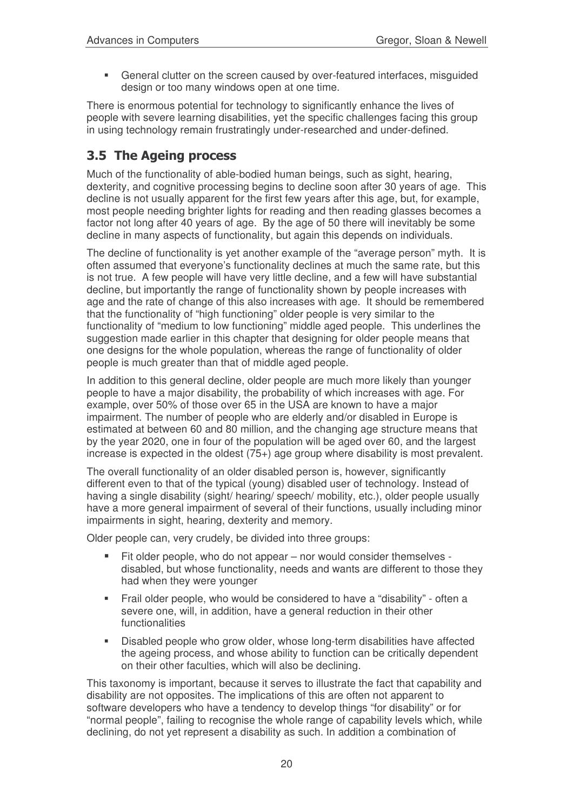General clutter on the screen caused by over-featured interfaces, misguided design or too many windows open at one time.

There is enormous potential for technology to significantly enhance the lives of people with severe learning disabilities, yet the specific challenges facing this group in using technology remain frustratingly under-researched and under-defined.

# **3.5 The Ageing process**

Much of the functionality of able-bodied human beings, such as sight, hearing, dexterity, and cognitive processing begins to decline soon after 30 years of age. This decline is not usually apparent for the first few years after this age, but, for example, most people needing brighter lights for reading and then reading glasses becomes a factor not long after 40 years of age. By the age of 50 there will inevitably be some decline in many aspects of functionality, but again this depends on individuals.

The decline of functionality is yet another example of the "average person" myth. It is often assumed that everyone's functionality declines at much the same rate, but this is not true. A few people will have very little decline, and a few will have substantial decline, but importantly the range of functionality shown by people increases with age and the rate of change of this also increases with age. It should be remembered that the functionality of "high functioning" older people is very similar to the functionality of "medium to low functioning" middle aged people. This underlines the suggestion made earlier in this chapter that designing for older people means that one designs for the whole population, whereas the range of functionality of older people is much greater than that of middle aged people.

In addition to this general decline, older people are much more likely than younger people to have a major disability, the probability of which increases with age. For example, over 50% of those over 65 in the USA are known to have a major impairment. The number of people who are elderly and/or disabled in Europe is estimated at between 60 and 80 million, and the changing age structure means that by the year 2020, one in four of the population will be aged over 60, and the largest increase is expected in the oldest (75+) age group where disability is most prevalent.

The overall functionality of an older disabled person is, however, significantly different even to that of the typical (young) disabled user of technology. Instead of having a single disability (sight/ hearing/ speech/ mobility, etc.), older people usually have a more general impairment of several of their functions, usually including minor impairments in sight, hearing, dexterity and memory.

Older people can, very crudely, be divided into three groups:

- Fit older people, who do not appear nor would consider themselves disabled, but whose functionality, needs and wants are different to those they had when they were younger
- Frail older people, who would be considered to have a "disability" often a severe one, will, in addition, have a general reduction in their other functionalities
- Disabled people who grow older, whose long-term disabilities have affected the ageing process, and whose ability to function can be critically dependent on their other faculties, which will also be declining.

This taxonomy is important, because it serves to illustrate the fact that capability and disability are not opposites. The implications of this are often not apparent to software developers who have a tendency to develop things "for disability" or for "normal people", failing to recognise the whole range of capability levels which, while declining, do not yet represent a disability as such. In addition a combination of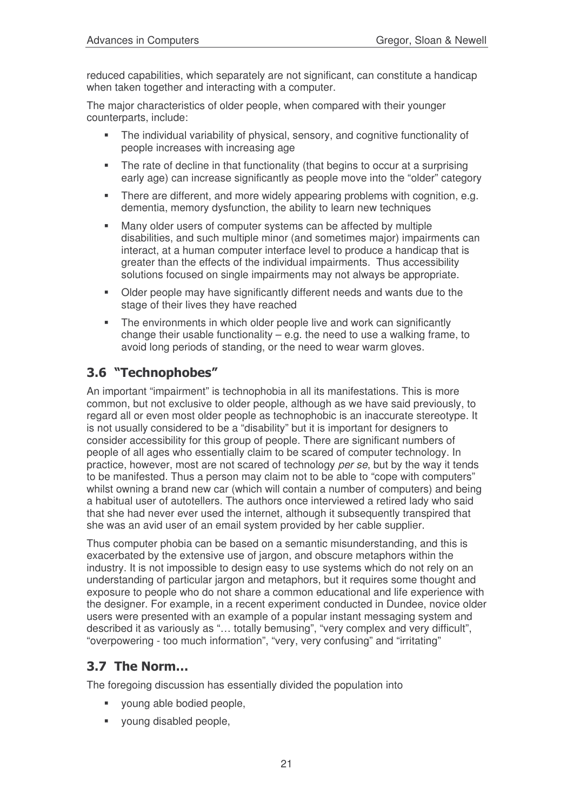reduced capabilities, which separately are not significant, can constitute a handicap when taken together and interacting with a computer.

The major characteristics of older people, when compared with their younger counterparts, include:

- The individual variability of physical, sensory, and cognitive functionality of people increases with increasing age
- The rate of decline in that functionality (that begins to occur at a surprising early age) can increase significantly as people move into the "older" category
- There are different, and more widely appearing problems with cognition, e.g. dementia, memory dysfunction, the ability to learn new techniques
- Many older users of computer systems can be affected by multiple disabilities, and such multiple minor (and sometimes major) impairments can interact, at a human computer interface level to produce a handicap that is greater than the effects of the individual impairments. Thus accessibility solutions focused on single impairments may not always be appropriate.
- Older people may have significantly different needs and wants due to the stage of their lives they have reached
- The environments in which older people live and work can significantly change their usable functionality  $-e.a$ , the need to use a walking frame, to avoid long periods of standing, or the need to wear warm gloves.

# 3.6 "Technophobes"

An important "impairment" is technophobia in all its manifestations. This is more common, but not exclusive to older people, although as we have said previously, to regard all or even most older people as technophobic is an inaccurate stereotype. It is not usually considered to be a "disability" but it is important for designers to consider accessibility for this group of people. There are significant numbers of people of all ages who essentially claim to be scared of computer technology. In practice, however, most are not scared of technology *per se*, but by the way it tends to be manifested. Thus a person may claim not to be able to "cope with computers" whilst owning a brand new car (which will contain a number of computers) and being a habitual user of autotellers. The authors once interviewed a retired lady who said that she had never ever used the internet, although it subsequently transpired that she was an avid user of an email system provided by her cable supplier.

Thus computer phobia can be based on a semantic misunderstanding, and this is exacerbated by the extensive use of jargon, and obscure metaphors within the industry. It is not impossible to design easy to use systems which do not rely on an understanding of particular jargon and metaphors, but it requires some thought and exposure to people who do not share a common educational and life experience with the designer. For example, in a recent experiment conducted in Dundee, novice older users were presented with an example of a popular instant messaging system and described it as variously as "… totally bemusing", "very complex and very difficult", "overpowering - too much information", "very, very confusing" and "irritating"

# 3.7 The Norm...

The foregoing discussion has essentially divided the population into

- young able bodied people,
- young disabled people,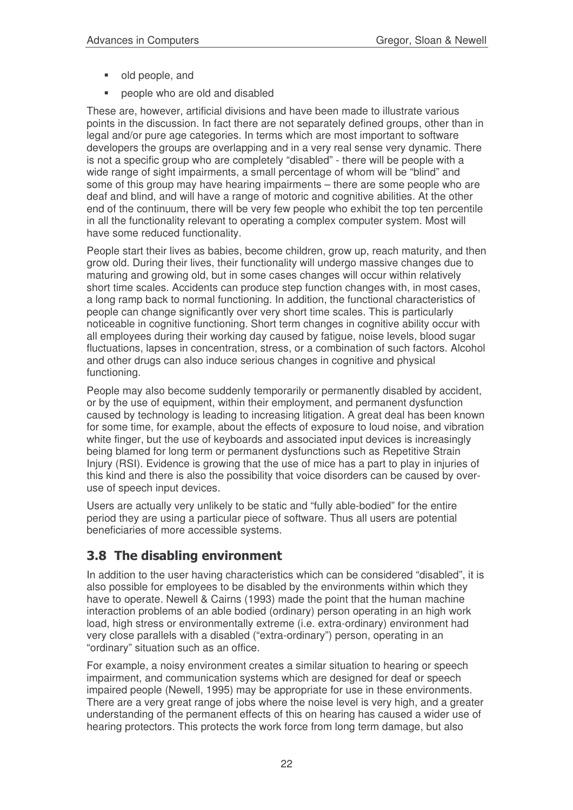- old people, and
- **PEOP** people who are old and disabled

These are, however, artificial divisions and have been made to illustrate various points in the discussion. In fact there are not separately defined groups, other than in legal and/or pure age categories. In terms which are most important to software developers the groups are overlapping and in a very real sense very dynamic. There is not a specific group who are completely "disabled" - there will be people with a wide range of sight impairments, a small percentage of whom will be "blind" and some of this group may have hearing impairments – there are some people who are deaf and blind, and will have a range of motoric and cognitive abilities. At the other end of the continuum, there will be very few people who exhibit the top ten percentile in all the functionality relevant to operating a complex computer system. Most will have some reduced functionality.

People start their lives as babies, become children, grow up, reach maturity, and then grow old. During their lives, their functionality will undergo massive changes due to maturing and growing old, but in some cases changes will occur within relatively short time scales. Accidents can produce step function changes with, in most cases, a long ramp back to normal functioning. In addition, the functional characteristics of people can change significantly over very short time scales. This is particularly noticeable in cognitive functioning. Short term changes in cognitive ability occur with all employees during their working day caused by fatigue, noise levels, blood sugar fluctuations, lapses in concentration, stress, or a combination of such factors. Alcohol and other drugs can also induce serious changes in cognitive and physical functioning.

People may also become suddenly temporarily or permanently disabled by accident, or by the use of equipment, within their employment, and permanent dysfunction caused by technology is leading to increasing litigation. A great deal has been known for some time, for example, about the effects of exposure to loud noise, and vibration white finger, but the use of keyboards and associated input devices is increasingly being blamed for long term or permanent dysfunctions such as Repetitive Strain Injury (RSI). Evidence is growing that the use of mice has a part to play in injuries of this kind and there is also the possibility that voice disorders can be caused by overuse of speech input devices.

Users are actually very unlikely to be static and "fully able-bodied" for the entire period they are using a particular piece of software. Thus all users are potential beneficiaries of more accessible systems.

### 3.8 The disabling environment

In addition to the user having characteristics which can be considered "disabled", it is also possible for employees to be disabled by the environments within which they have to operate. Newell & Cairns (1993) made the point that the human machine interaction problems of an able bodied (ordinary) person operating in an high work load, high stress or environmentally extreme (i.e. extra-ordinary) environment had very close parallels with a disabled ("extra-ordinary") person, operating in an "ordinary" situation such as an office.

For example, a noisy environment creates a similar situation to hearing or speech impairment, and communication systems which are designed for deaf or speech impaired people (Newell, 1995) may be appropriate for use in these environments. There are a very great range of jobs where the noise level is very high, and a greater understanding of the permanent effects of this on hearing has caused a wider use of hearing protectors. This protects the work force from long term damage, but also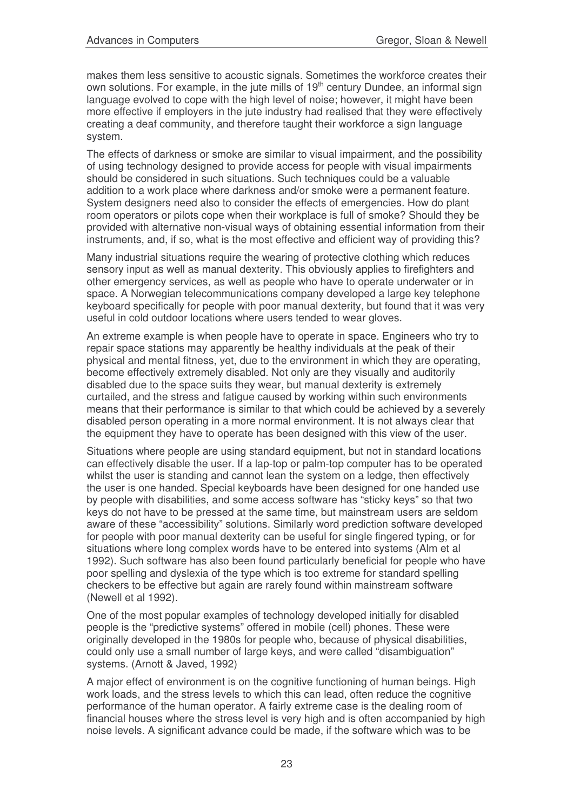makes them less sensitive to acoustic signals. Sometimes the workforce creates their own solutions. For example, in the jute mills of 19<sup>th</sup> century Dundee, an informal sign language evolved to cope with the high level of noise; however, it might have been more effective if employers in the jute industry had realised that they were effectively creating a deaf community, and therefore taught their workforce a sign language system.

The effects of darkness or smoke are similar to visual impairment, and the possibility of using technology designed to provide access for people with visual impairments should be considered in such situations. Such techniques could be a valuable addition to a work place where darkness and/or smoke were a permanent feature. System designers need also to consider the effects of emergencies. How do plant room operators or pilots cope when their workplace is full of smoke? Should they be provided with alternative non-visual ways of obtaining essential information from their instruments, and, if so, what is the most effective and efficient way of providing this?

Many industrial situations require the wearing of protective clothing which reduces sensory input as well as manual dexterity. This obviously applies to firefighters and other emergency services, as well as people who have to operate underwater or in space. A Norwegian telecommunications company developed a large key telephone keyboard specifically for people with poor manual dexterity, but found that it was very useful in cold outdoor locations where users tended to wear gloves.

An extreme example is when people have to operate in space. Engineers who try to repair space stations may apparently be healthy individuals at the peak of their physical and mental fitness, yet, due to the environment in which they are operating, become effectively extremely disabled. Not only are they visually and auditorily disabled due to the space suits they wear, but manual dexterity is extremely curtailed, and the stress and fatigue caused by working within such environments means that their performance is similar to that which could be achieved by a severely disabled person operating in a more normal environment. It is not always clear that the equipment they have to operate has been designed with this view of the user.

Situations where people are using standard equipment, but not in standard locations can effectively disable the user. If a lap-top or palm-top computer has to be operated whilst the user is standing and cannot lean the system on a ledge, then effectively the user is one handed. Special keyboards have been designed for one handed use by people with disabilities, and some access software has "sticky keys" so that two keys do not have to be pressed at the same time, but mainstream users are seldom aware of these "accessibility" solutions. Similarly word prediction software developed for people with poor manual dexterity can be useful for single fingered typing, or for situations where long complex words have to be entered into systems (Alm et al 1992). Such software has also been found particularly beneficial for people who have poor spelling and dyslexia of the type which is too extreme for standard spelling checkers to be effective but again are rarely found within mainstream software (Newell et al 1992).

One of the most popular examples of technology developed initially for disabled people is the "predictive systems" offered in mobile (cell) phones. These were originally developed in the 1980s for people who, because of physical disabilities, could only use a small number of large keys, and were called "disambiguation" systems. (Arnott & Javed, 1992)

A major effect of environment is on the cognitive functioning of human beings. High work loads, and the stress levels to which this can lead, often reduce the cognitive performance of the human operator. A fairly extreme case is the dealing room of financial houses where the stress level is very high and is often accompanied by high noise levels. A significant advance could be made, if the software which was to be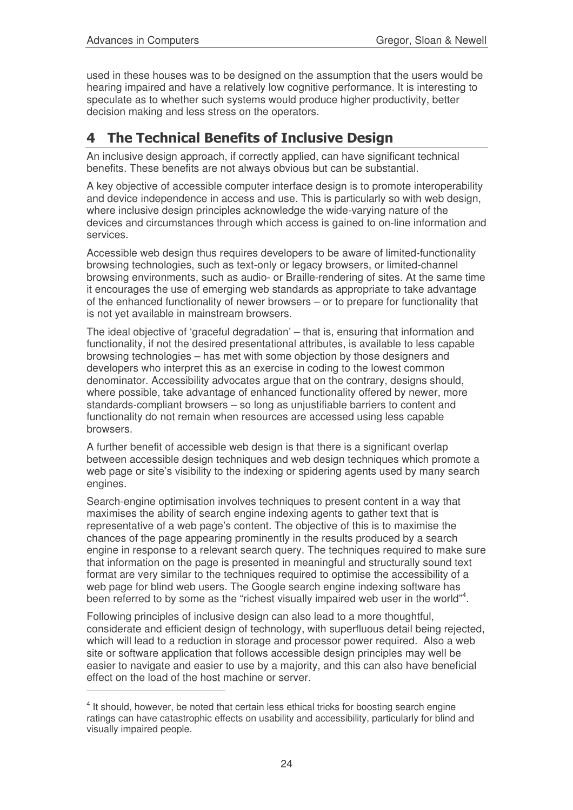used in these houses was to be designed on the assumption that the users would be hearing impaired and have a relatively low cognitive performance. It is interesting to speculate as to whether such systems would produce higher productivity, better decision making and less stress on the operators.

# 4 The Technical Benefits of Inclusive Design

An inclusive design approach, if correctly applied, can have significant technical benefits. These benefits are not always obvious but can be substantial.

A key objective of accessible computer interface design is to promote interoperability and device independence in access and use. This is particularly so with web design, where inclusive design principles acknowledge the wide-varying nature of the devices and circumstances through which access is gained to on-line information and services.

Accessible web design thus requires developers to be aware of limited-functionality browsing technologies, such as text-only or legacy browsers, or limited-channel browsing environments, such as audio- or Braille-rendering of sites. At the same time it encourages the use of emerging web standards as appropriate to take advantage of the enhanced functionality of newer browsers – or to prepare for functionality that is not yet available in mainstream browsers.

The ideal objective of 'graceful degradation' – that is, ensuring that information and functionality, if not the desired presentational attributes, is available to less capable browsing technologies – has met with some objection by those designers and developers who interpret this as an exercise in coding to the lowest common denominator. Accessibility advocates argue that on the contrary, designs should, where possible, take advantage of enhanced functionality offered by newer, more standards-compliant browsers – so long as unjustifiable barriers to content and functionality do not remain when resources are accessed using less capable browsers.

A further benefit of accessible web design is that there is a significant overlap between accessible design techniques and web design techniques which promote a web page or site's visibility to the indexing or spidering agents used by many search engines.

Search-engine optimisation involves techniques to present content in a way that maximises the ability of search engine indexing agents to gather text that is representative of a web page's content. The objective of this is to maximise the chances of the page appearing prominently in the results produced by a search engine in response to a relevant search query. The techniques required to make sure that information on the page is presented in meaningful and structurally sound text format are very similar to the techniques required to optimise the accessibility of a web page for blind web users. The Google search engine indexing software has been referred to by some as the "richest visually impaired web user in the world"<sup>4</sup>.

Following principles of inclusive design can also lead to a more thoughtful, considerate and efficient design of technology, with superfluous detail being rejected, which will lead to a reduction in storage and processor power required. Also a web site or software application that follows accessible design principles may well be easier to navigate and easier to use by a majority, and this can also have beneficial effect on the load of the host machine or server.

<sup>&</sup>lt;sup>4</sup> It should, however, be noted that certain less ethical tricks for boosting search engine ratings can have catastrophic effects on usability and accessibility, particularly for blind and visually impaired people.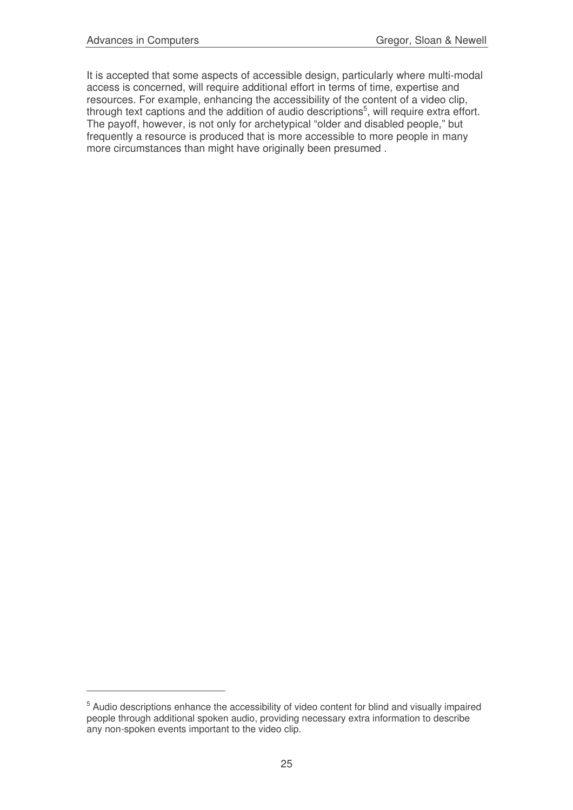It is accepted that some aspects of accessible design, particularly where multi-modal access is concerned, will require additional effort in terms of time, expertise and resources. For example, enhancing the accessibility of the content of a video clip, through text captions and the addition of audio descriptions<sup>5</sup>, will require extra effort. The payoff, however, is not only for archetypical "older and disabled people," but frequently a resource is produced that is more accessible to more people in many more circumstances than might have originally been presumed .

<sup>&</sup>lt;sup>5</sup> Audio descriptions enhance the accessibility of video content for blind and visually impaired people through additional spoken audio, providing necessary extra information to describe any non-spoken events important to the video clip.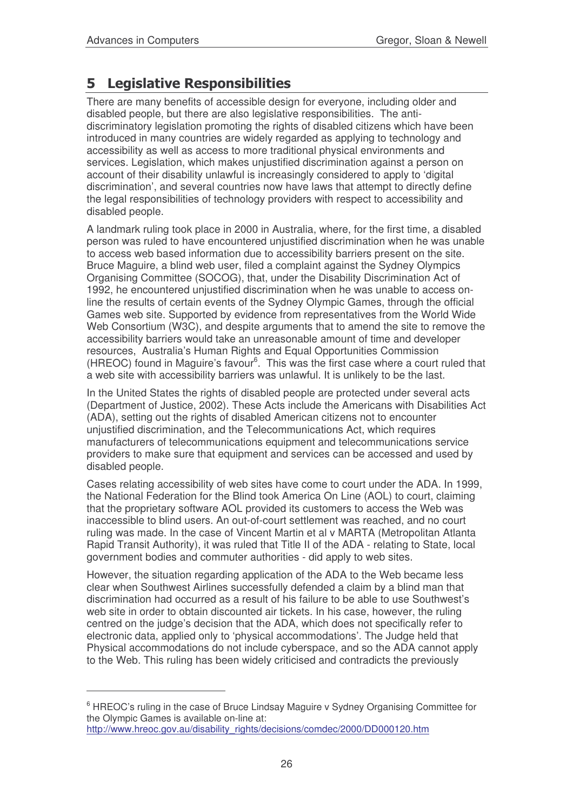# 5 Legislative Responsibilities

There are many benefits of accessible design for everyone, including older and disabled people, but there are also legislative responsibilities. The antidiscriminatory legislation promoting the rights of disabled citizens which have been introduced in many countries are widely regarded as applying to technology and accessibility as well as access to more traditional physical environments and services. Legislation, which makes unjustified discrimination against a person on account of their disability unlawful is increasingly considered to apply to 'digital discrimination', and several countries now have laws that attempt to directly define the legal responsibilities of technology providers with respect to accessibility and disabled people.

A landmark ruling took place in 2000 in Australia, where, for the first time, a disabled person was ruled to have encountered unjustified discrimination when he was unable to access web based information due to accessibility barriers present on the site. Bruce Maguire, a blind web user, filed a complaint against the Sydney Olympics Organising Committee (SOCOG), that, under the Disability Discrimination Act of 1992, he encountered unjustified discrimination when he was unable to access online the results of certain events of the Sydney Olympic Games, through the official Games web site. Supported by evidence from representatives from the World Wide Web Consortium (W3C), and despite arguments that to amend the site to remove the accessibility barriers would take an unreasonable amount of time and developer resources, Australia's Human Rights and Equal Opportunities Commission (HREOC) found in Maguire's favour<sup>6</sup>. This was the first case where a court ruled that a web site with accessibility barriers was unlawful. It is unlikely to be the last.

In the United States the rights of disabled people are protected under several acts (Department of Justice, 2002). These Acts include the Americans with Disabilities Act (ADA), setting out the rights of disabled American citizens not to encounter unjustified discrimination, and the Telecommunications Act, which requires manufacturers of telecommunications equipment and telecommunications service providers to make sure that equipment and services can be accessed and used by disabled people.

Cases relating accessibility of web sites have come to court under the ADA. In 1999, the National Federation for the Blind took America On Line (AOL) to court, claiming that the proprietary software AOL provided its customers to access the Web was inaccessible to blind users. An out-of-court settlement was reached, and no court ruling was made. In the case of Vincent Martin et al v MARTA (Metropolitan Atlanta Rapid Transit Authority), it was ruled that Title II of the ADA - relating to State, local government bodies and commuter authorities - did apply to web sites.

However, the situation regarding application of the ADA to the Web became less clear when Southwest Airlines successfully defended a claim by a blind man that discrimination had occurred as a result of his failure to be able to use Southwest's web site in order to obtain discounted air tickets. In his case, however, the ruling centred on the judge's decision that the ADA, which does not specifically refer to electronic data, applied only to 'physical accommodations'. The Judge held that Physical accommodations do not include cyberspace, and so the ADA cannot apply to the Web. This ruling has been widely criticised and contradicts the previously

<sup>&</sup>lt;sup>6</sup> HREOC's ruling in the case of Bruce Lindsay Maguire v Sydney Organising Committee for the Olympic Games is available on-line at:

http://www.hreoc.gov.au/disability\_rights/decisions/comdec/2000/DD000120.htm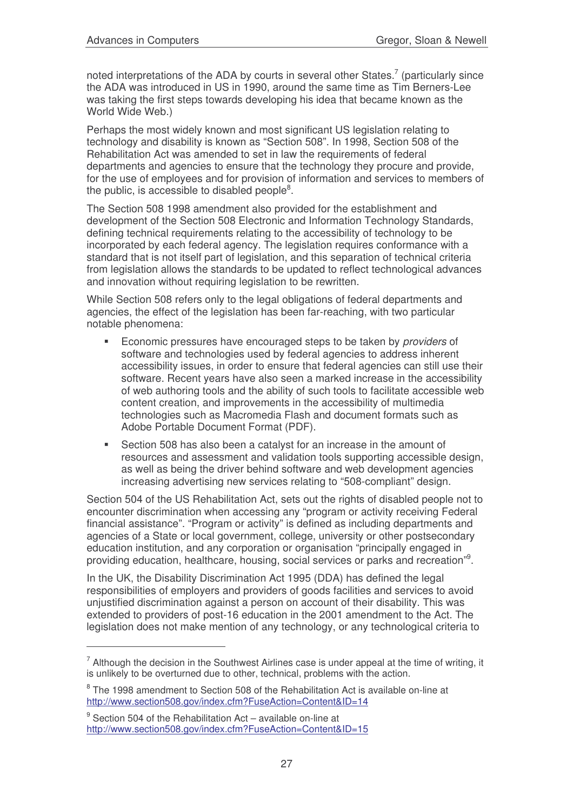noted interpretations of the ADA by courts in several other States.<sup>7</sup> (particularly since the ADA was introduced in US in 1990, around the same time as Tim Berners-Lee was taking the first steps towards developing his idea that became known as the World Wide Web.)

Perhaps the most widely known and most significant US legislation relating to technology and disability is known as "Section 508". In 1998, Section 508 of the Rehabilitation Act was amended to set in law the requirements of federal departments and agencies to ensure that the technology they procure and provide, for the use of employees and for provision of information and services to members of the public, is accessible to disabled people<sup>8</sup>.

The Section 508 1998 amendment also provided for the establishment and development of the Section 508 Electronic and Information Technology Standards, defining technical requirements relating to the accessibility of technology to be incorporated by each federal agency. The legislation requires conformance with a standard that is not itself part of legislation, and this separation of technical criteria from legislation allows the standards to be updated to reflect technological advances and innovation without requiring legislation to be rewritten.

While Section 508 refers only to the legal obligations of federal departments and agencies, the effect of the legislation has been far-reaching, with two particular notable phenomena:

- Economic pressures have encouraged steps to be taken by *providers* of software and technologies used by federal agencies to address inherent accessibility issues, in order to ensure that federal agencies can still use their software. Recent years have also seen a marked increase in the accessibility of web authoring tools and the ability of such tools to facilitate accessible web content creation, and improvements in the accessibility of multimedia technologies such as Macromedia Flash and document formats such as Adobe Portable Document Format (PDF).
- Section 508 has also been a catalyst for an increase in the amount of resources and assessment and validation tools supporting accessible design, as well as being the driver behind software and web development agencies increasing advertising new services relating to "508-compliant" design.

Section 504 of the US Rehabilitation Act, sets out the rights of disabled people not to encounter discrimination when accessing any "program or activity receiving Federal financial assistance". "Program or activity" is defined as including departments and agencies of a State or local government, college, university or other postsecondary education institution, and any corporation or organisation "principally engaged in providing education, healthcare, housing, social services or parks and recreation"<sup>9</sup>.

In the UK, the Disability Discrimination Act 1995 (DDA) has defined the legal responsibilities of employers and providers of goods facilities and services to avoid unjustified discrimination against a person on account of their disability. This was extended to providers of post-16 education in the 2001 amendment to the Act. The legislation does not make mention of any technology, or any technological criteria to

 $<sup>7</sup>$  Although the decision in the Southwest Airlines case is under appeal at the time of writing, it</sup> is unlikely to be overturned due to other, technical, problems with the action.

 $^8$  The 1998 amendment to Section 508 of the Rehabilitation Act is available on-line at http://www.section508.gov/index.cfm?FuseAction=Content&ID=14

 $9$  Section 504 of the Rehabilitation Act – available on-line at http://www.section508.gov/index.cfm?FuseAction=Content&ID=15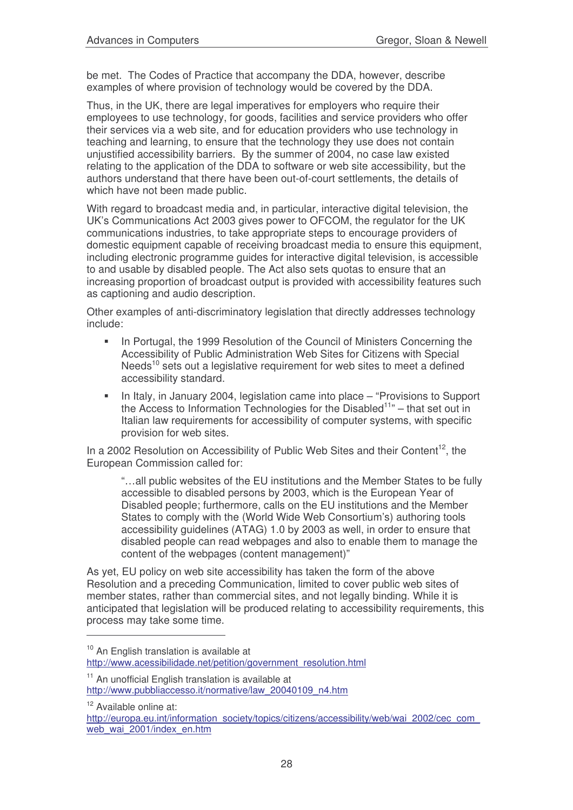be met. The Codes of Practice that accompany the DDA, however, describe examples of where provision of technology would be covered by the DDA.

Thus, in the UK, there are legal imperatives for employers who require their employees to use technology, for goods, facilities and service providers who offer their services via a web site, and for education providers who use technology in teaching and learning, to ensure that the technology they use does not contain unjustified accessibility barriers. By the summer of 2004, no case law existed relating to the application of the DDA to software or web site accessibility, but the authors understand that there have been out-of-court settlements, the details of which have not been made public.

With regard to broadcast media and, in particular, interactive digital television, the UK's Communications Act 2003 gives power to OFCOM, the regulator for the UK communications industries, to take appropriate steps to encourage providers of domestic equipment capable of receiving broadcast media to ensure this equipment, including electronic programme guides for interactive digital television, is accessible to and usable by disabled people. The Act also sets quotas to ensure that an increasing proportion of broadcast output is provided with accessibility features such as captioning and audio description.

Other examples of anti-discriminatory legislation that directly addresses technology include:

- In Portugal, the 1999 Resolution of the Council of Ministers Concerning the Accessibility of Public Administration Web Sites for Citizens with Special Needs<sup>10</sup> sets out a legislative requirement for web sites to meet a defined accessibility standard.
- In Italy, in January 2004, legislation came into place "Provisions to Support" the Access to Information Technologies for the Disabled<sup>11</sup>" – that set out in Italian law requirements for accessibility of computer systems, with specific provision for web sites.

In a 2002 Resolution on Accessibility of Public Web Sites and their Content<sup>12</sup>, the European Commission called for:

"…all public websites of the EU institutions and the Member States to be fully accessible to disabled persons by 2003, which is the European Year of Disabled people; furthermore, calls on the EU institutions and the Member States to comply with the (World Wide Web Consortium's) authoring tools accessibility guidelines (ATAG) 1.0 by 2003 as well, in order to ensure that disabled people can read webpages and also to enable them to manage the content of the webpages (content management)"

As yet, EU policy on web site accessibility has taken the form of the above Resolution and a preceding Communication, limited to cover public web sites of member states, rather than commercial sites, and not legally binding. While it is anticipated that legislation will be produced relating to accessibility requirements, this process may take some time.

<sup>11</sup> An unofficial English translation is available at http://www.pubbliaccesso.it/normative/law\_20040109\_n4.htm

<sup>&</sup>lt;sup>10</sup> An English translation is available at http://www.acessibilidade.net/petition/government\_resolution.html

<sup>&</sup>lt;sup>12</sup> Available online at:

http://europa.eu.int/information\_society/topics/citizens/accessibility/web/wai\_2002/cec\_com\_ web\_wai\_2001/index\_en.htm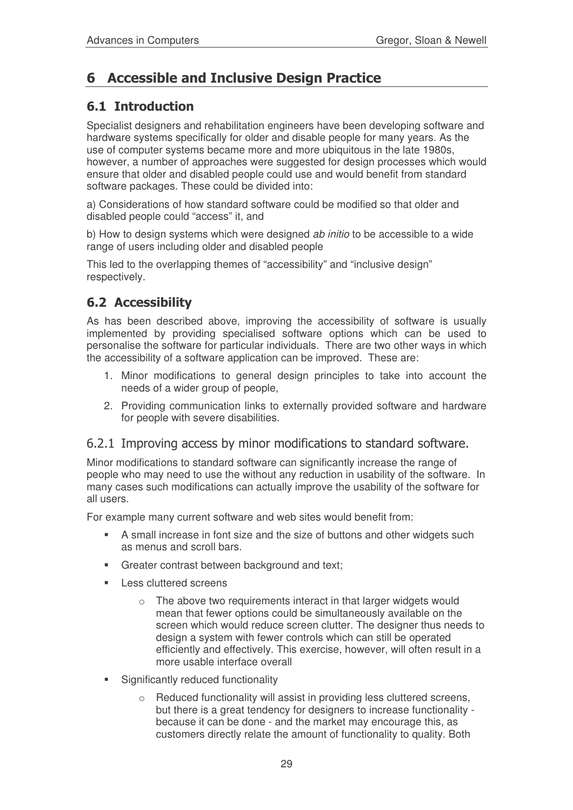# 6 Accessible and Inclusive Design Practice

## 6.1 Introduction

Specialist designers and rehabilitation engineers have been developing software and hardware systems specifically for older and disable people for many years. As the use of computer systems became more and more ubiquitous in the late 1980s, however, a number of approaches were suggested for design processes which would ensure that older and disabled people could use and would benefit from standard software packages. These could be divided into:

a) Considerations of how standard software could be modified so that older and disabled people could "access" it, and

b) How to design systems which were designed *ab initio* to be accessible to a wide range of users including older and disabled people

This led to the overlapping themes of "accessibility" and "inclusive design" respectively.

### **6.2 Accessibility**

As has been described above, improving the accessibility of software is usually implemented by providing specialised software options which can be used to personalise the software for particular individuals. There are two other ways in which the accessibility of a software application can be improved. These are:

- 1. Minor modifications to general design principles to take into account the needs of a wider group of people,
- 2. Providing communication links to externally provided software and hardware for people with severe disabilities.

#### 6.2.1 Improving access by minor modifications to standard software.

Minor modifications to standard software can significantly increase the range of people who may need to use the without any reduction in usability of the software. In many cases such modifications can actually improve the usability of the software for all users.

For example many current software and web sites would benefit from:

- A small increase in font size and the size of buttons and other widgets such as menus and scroll bars.
- Greater contrast between background and text:
- **Less cluttered screens** 
	- $\circ$  The above two requirements interact in that larger widgets would mean that fewer options could be simultaneously available on the screen which would reduce screen clutter. The designer thus needs to design a system with fewer controls which can still be operated efficiently and effectively. This exercise, however, will often result in a more usable interface overall
- Significantly reduced functionality
	- o Reduced functionality will assist in providing less cluttered screens, but there is a great tendency for designers to increase functionality because it can be done - and the market may encourage this, as customers directly relate the amount of functionality to quality. Both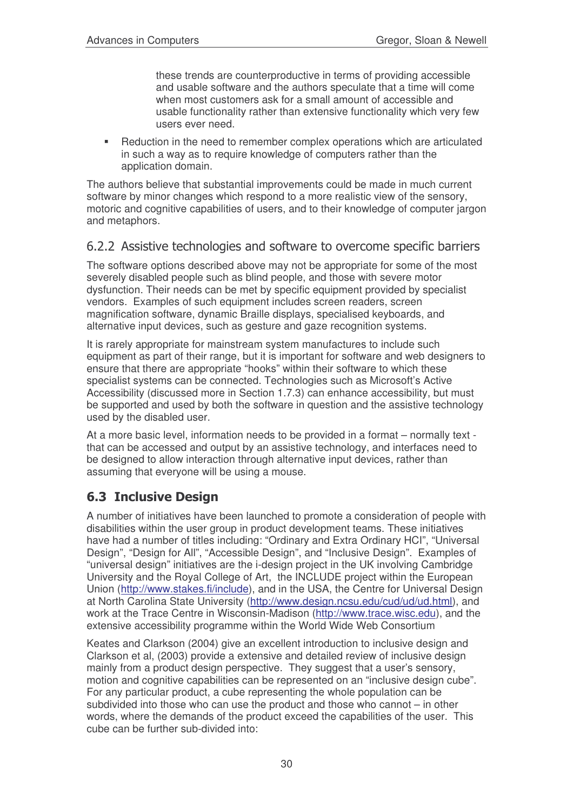these trends are counterproductive in terms of providing accessible and usable software and the authors speculate that a time will come when most customers ask for a small amount of accessible and usable functionality rather than extensive functionality which very few users ever need.

 Reduction in the need to remember complex operations which are articulated in such a way as to require knowledge of computers rather than the application domain.

The authors believe that substantial improvements could be made in much current software by minor changes which respond to a more realistic view of the sensory, motoric and cognitive capabilities of users, and to their knowledge of computer jargon and metaphors.

### 6.2.2 Assistive technologies and software to overcome specific barriers

The software options described above may not be appropriate for some of the most severely disabled people such as blind people, and those with severe motor dysfunction. Their needs can be met by specific equipment provided by specialist vendors. Examples of such equipment includes screen readers, screen magnification software, dynamic Braille displays, specialised keyboards, and alternative input devices, such as gesture and gaze recognition systems.

It is rarely appropriate for mainstream system manufactures to include such equipment as part of their range, but it is important for software and web designers to ensure that there are appropriate "hooks" within their software to which these specialist systems can be connected. Technologies such as Microsoft's Active Accessibility (discussed more in Section 1.7.3) can enhance accessibility, but must be supported and used by both the software in question and the assistive technology used by the disabled user.

At a more basic level, information needs to be provided in a format – normally text that can be accessed and output by an assistive technology, and interfaces need to be designed to allow interaction through alternative input devices, rather than assuming that everyone will be using a mouse.

## 6.3 Inclusive Design

A number of initiatives have been launched to promote a consideration of people with disabilities within the user group in product development teams. These initiatives have had a number of titles including: "Ordinary and Extra Ordinary HCI", "Universal Design", "Design for All", "Accessible Design", and "Inclusive Design". Examples of "universal design" initiatives are the i-design project in the UK involving Cambridge University and the Royal College of Art, the INCLUDE project within the European Union (http://www.stakes.fi/include), and in the USA, the Centre for Universal Design at North Carolina State University (http://www.design.ncsu.edu/cud/ud/ud.html), and work at the Trace Centre in Wisconsin-Madison (http://www.trace.wisc.edu), and the extensive accessibility programme within the World Wide Web Consortium

Keates and Clarkson (2004) give an excellent introduction to inclusive design and Clarkson et al, (2003) provide a extensive and detailed review of inclusive design mainly from a product design perspective. They suggest that a user's sensory, motion and cognitive capabilities can be represented on an "inclusive design cube". For any particular product, a cube representing the whole population can be subdivided into those who can use the product and those who cannot – in other words, where the demands of the product exceed the capabilities of the user. This cube can be further sub-divided into: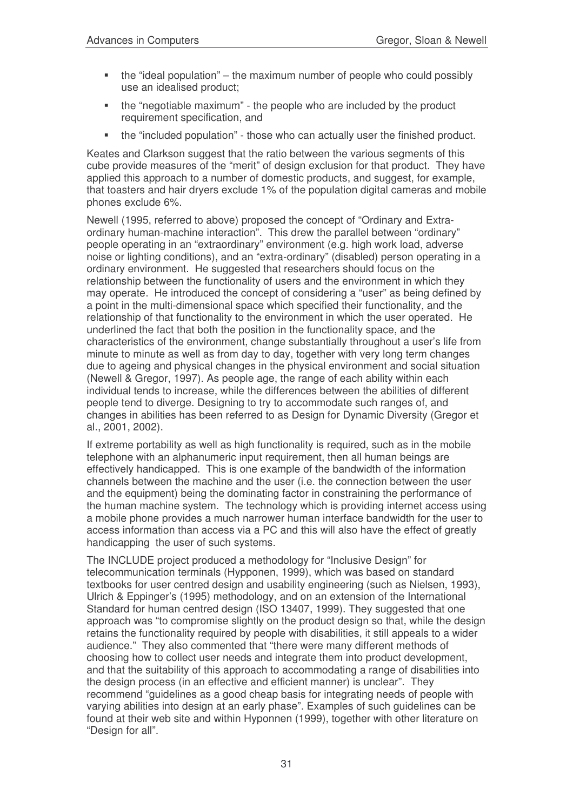- the "ideal population" the maximum number of people who could possibly use an idealised product;
- the "negotiable maximum" the people who are included by the product requirement specification, and
- the "included population" those who can actually user the finished product.

Keates and Clarkson suggest that the ratio between the various segments of this cube provide measures of the "merit" of design exclusion for that product. They have applied this approach to a number of domestic products, and suggest, for example, that toasters and hair dryers exclude 1% of the population digital cameras and mobile phones exclude 6%.

Newell (1995, referred to above) proposed the concept of "Ordinary and Extraordinary human-machine interaction". This drew the parallel between "ordinary" people operating in an "extraordinary" environment (e.g. high work load, adverse noise or lighting conditions), and an "extra-ordinary" (disabled) person operating in a ordinary environment. He suggested that researchers should focus on the relationship between the functionality of users and the environment in which they may operate. He introduced the concept of considering a "user" as being defined by a point in the multi-dimensional space which specified their functionality, and the relationship of that functionality to the environment in which the user operated. He underlined the fact that both the position in the functionality space, and the characteristics of the environment, change substantially throughout a user's life from minute to minute as well as from day to day, together with very long term changes due to ageing and physical changes in the physical environment and social situation (Newell & Gregor, 1997). As people age, the range of each ability within each individual tends to increase, while the differences between the abilities of different people tend to diverge. Designing to try to accommodate such ranges of, and changes in abilities has been referred to as Design for Dynamic Diversity (Gregor et al., 2001, 2002).

If extreme portability as well as high functionality is required, such as in the mobile telephone with an alphanumeric input requirement, then all human beings are effectively handicapped. This is one example of the bandwidth of the information channels between the machine and the user (i.e. the connection between the user and the equipment) being the dominating factor in constraining the performance of the human machine system. The technology which is providing internet access using a mobile phone provides a much narrower human interface bandwidth for the user to access information than access via a PC and this will also have the effect of greatly handicapping the user of such systems.

The INCLUDE project produced a methodology for "Inclusive Design" for telecommunication terminals (Hypponen, 1999), which was based on standard textbooks for user centred design and usability engineering (such as Nielsen, 1993), Ulrich & Eppinger's (1995) methodology, and on an extension of the International Standard for human centred design (ISO 13407, 1999). They suggested that one approach was "to compromise slightly on the product design so that, while the design retains the functionality required by people with disabilities, it still appeals to a wider audience." They also commented that "there were many different methods of choosing how to collect user needs and integrate them into product development, and that the suitability of this approach to accommodating a range of disabilities into the design process (in an effective and efficient manner) is unclear". They recommend "guidelines as a good cheap basis for integrating needs of people with varying abilities into design at an early phase". Examples of such guidelines can be found at their web site and within Hyponnen (1999), together with other literature on "Design for all".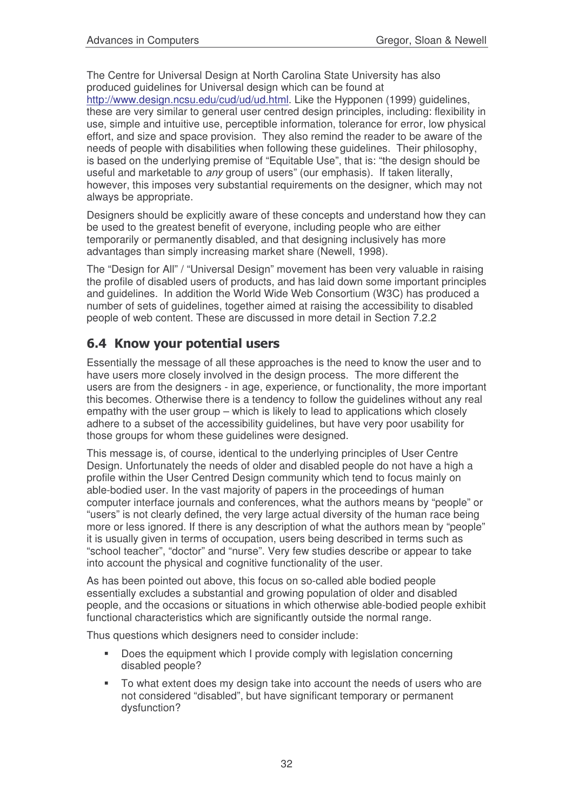The Centre for Universal Design at North Carolina State University has also produced guidelines for Universal design which can be found at http://www.design.ncsu.edu/cud/ud/ud.html. Like the Hypponen (1999) guidelines, these are very similar to general user centred design principles, including: flexibility in use, simple and intuitive use, perceptible information, tolerance for error, low physical effort, and size and space provision. They also remind the reader to be aware of the needs of people with disabilities when following these guidelines. Their philosophy, is based on the underlying premise of "Equitable Use", that is: "the design should be useful and marketable to *any* group of users" (our emphasis). If taken literally, however, this imposes very substantial requirements on the designer, which may not always be appropriate.

Designers should be explicitly aware of these concepts and understand how they can be used to the greatest benefit of everyone, including people who are either temporarily or permanently disabled, and that designing inclusively has more advantages than simply increasing market share (Newell, 1998).

The "Design for All" / "Universal Design" movement has been very valuable in raising the profile of disabled users of products, and has laid down some important principles and guidelines. In addition the World Wide Web Consortium (W3C) has produced a number of sets of guidelines, together aimed at raising the accessibility to disabled people of web content. These are discussed in more detail in Section 7.2.2

## 6.4 Know your potential users

Essentially the message of all these approaches is the need to know the user and to have users more closely involved in the design process. The more different the users are from the designers - in age, experience, or functionality, the more important this becomes. Otherwise there is a tendency to follow the guidelines without any real empathy with the user group – which is likely to lead to applications which closely adhere to a subset of the accessibility guidelines, but have very poor usability for those groups for whom these guidelines were designed.

This message is, of course, identical to the underlying principles of User Centre Design. Unfortunately the needs of older and disabled people do not have a high a profile within the User Centred Design community which tend to focus mainly on able-bodied user. In the vast majority of papers in the proceedings of human computer interface journals and conferences, what the authors means by "people" or "users" is not clearly defined, the very large actual diversity of the human race being more or less ignored. If there is any description of what the authors mean by "people" it is usually given in terms of occupation, users being described in terms such as "school teacher", "doctor" and "nurse". Very few studies describe or appear to take into account the physical and cognitive functionality of the user.

As has been pointed out above, this focus on so-called able bodied people essentially excludes a substantial and growing population of older and disabled people, and the occasions or situations in which otherwise able-bodied people exhibit functional characteristics which are significantly outside the normal range.

Thus questions which designers need to consider include:

- Does the equipment which I provide comply with legislation concerning disabled people?
- To what extent does my design take into account the needs of users who are not considered "disabled", but have significant temporary or permanent dysfunction?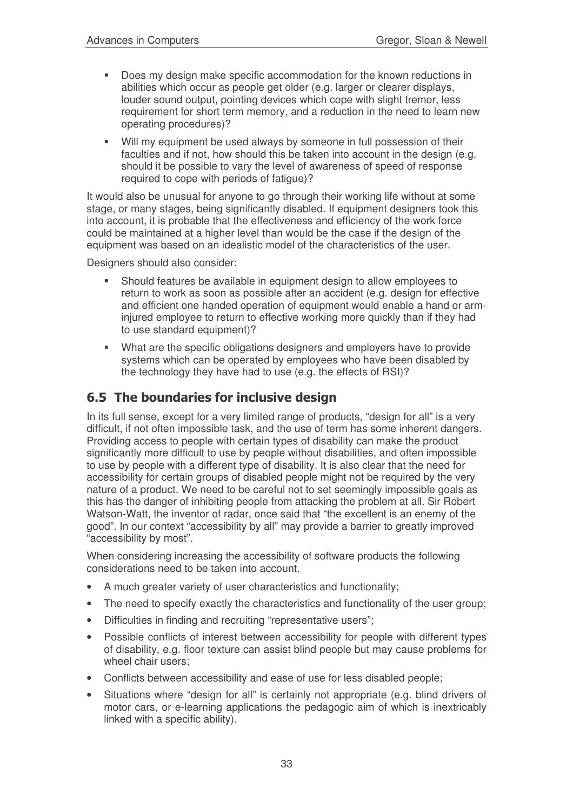- Does my design make specific accommodation for the known reductions in abilities which occur as people get older (e.g. larger or clearer displays, louder sound output, pointing devices which cope with slight tremor, less requirement for short term memory, and a reduction in the need to learn new operating procedures)?
- Will my equipment be used always by someone in full possession of their faculties and if not, how should this be taken into account in the design (e.g. should it be possible to vary the level of awareness of speed of response required to cope with periods of fatigue)?

It would also be unusual for anyone to go through their working life without at some stage, or many stages, being significantly disabled. If equipment designers took this into account, it is probable that the effectiveness and efficiency of the work force could be maintained at a higher level than would be the case if the design of the equipment was based on an idealistic model of the characteristics of the user.

Designers should also consider:

- Should features be available in equipment design to allow employees to return to work as soon as possible after an accident (e.g. design for effective and efficient one handed operation of equipment would enable a hand or arminjured employee to return to effective working more quickly than if they had to use standard equipment)?
- What are the specific obligations designers and employers have to provide systems which can be operated by employees who have been disabled by the technology they have had to use (e.g. the effects of RSI)?

### 6.5 The boundaries for inclusive design

In its full sense, except for a very limited range of products, "design for all" is a very difficult, if not often impossible task, and the use of term has some inherent dangers. Providing access to people with certain types of disability can make the product significantly more difficult to use by people without disabilities, and often impossible to use by people with a different type of disability. It is also clear that the need for accessibility for certain groups of disabled people might not be required by the very nature of a product. We need to be careful not to set seemingly impossible goals as this has the danger of inhibiting people from attacking the problem at all. Sir Robert Watson-Watt, the inventor of radar, once said that "the excellent is an enemy of the good". In our context "accessibility by all" may provide a barrier to greatly improved "accessibility by most".

When considering increasing the accessibility of software products the following considerations need to be taken into account.

- A much greater variety of user characteristics and functionality;
- The need to specify exactly the characteristics and functionality of the user group;
- Difficulties in finding and recruiting "representative users";
- Possible conflicts of interest between accessibility for people with different types of disability, e.g. floor texture can assist blind people but may cause problems for wheel chair users;
- Conflicts between accessibility and ease of use for less disabled people;
- Situations where "design for all" is certainly not appropriate (e.g. blind drivers of motor cars, or e-learning applications the pedagogic aim of which is inextricably linked with a specific ability).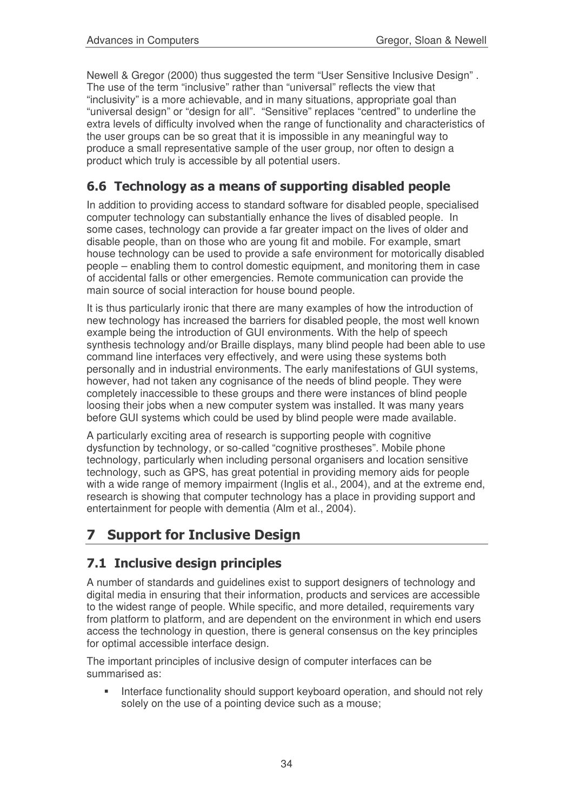Newell & Gregor (2000) thus suggested the term "User Sensitive Inclusive Design" . The use of the term "inclusive" rather than "universal" reflects the view that "inclusivity" is a more achievable, and in many situations, appropriate goal than "universal design" or "design for all". "Sensitive" replaces "centred" to underline the extra levels of difficulty involved when the range of functionality and characteristics of the user groups can be so great that it is impossible in any meaningful way to produce a small representative sample of the user group, nor often to design a product which truly is accessible by all potential users.

### 6.6 Technology as a means of supporting disabled people

In addition to providing access to standard software for disabled people, specialised computer technology can substantially enhance the lives of disabled people. In some cases, technology can provide a far greater impact on the lives of older and disable people, than on those who are young fit and mobile. For example, smart house technology can be used to provide a safe environment for motorically disabled people – enabling them to control domestic equipment, and monitoring them in case of accidental falls or other emergencies. Remote communication can provide the main source of social interaction for house bound people.

It is thus particularly ironic that there are many examples of how the introduction of new technology has increased the barriers for disabled people, the most well known example being the introduction of GUI environments. With the help of speech synthesis technology and/or Braille displays, many blind people had been able to use command line interfaces very effectively, and were using these systems both personally and in industrial environments. The early manifestations of GUI systems, however, had not taken any cognisance of the needs of blind people. They were completely inaccessible to these groups and there were instances of blind people loosing their jobs when a new computer system was installed. It was many years before GUI systems which could be used by blind people were made available.

A particularly exciting area of research is supporting people with cognitive dysfunction by technology, or so-called "cognitive prostheses". Mobile phone technology, particularly when including personal organisers and location sensitive technology, such as GPS, has great potential in providing memory aids for people with a wide range of memory impairment (Inglis et al., 2004), and at the extreme end, research is showing that computer technology has a place in providing support and entertainment for people with dementia (Alm et al., 2004).

# **7 Support for Inclusive Design**

# 7.1 Inclusive design principles

A number of standards and guidelines exist to support designers of technology and digital media in ensuring that their information, products and services are accessible to the widest range of people. While specific, and more detailed, requirements vary from platform to platform, and are dependent on the environment in which end users access the technology in question, there is general consensus on the key principles for optimal accessible interface design.

The important principles of inclusive design of computer interfaces can be summarised as:

 Interface functionality should support keyboard operation, and should not rely solely on the use of a pointing device such as a mouse;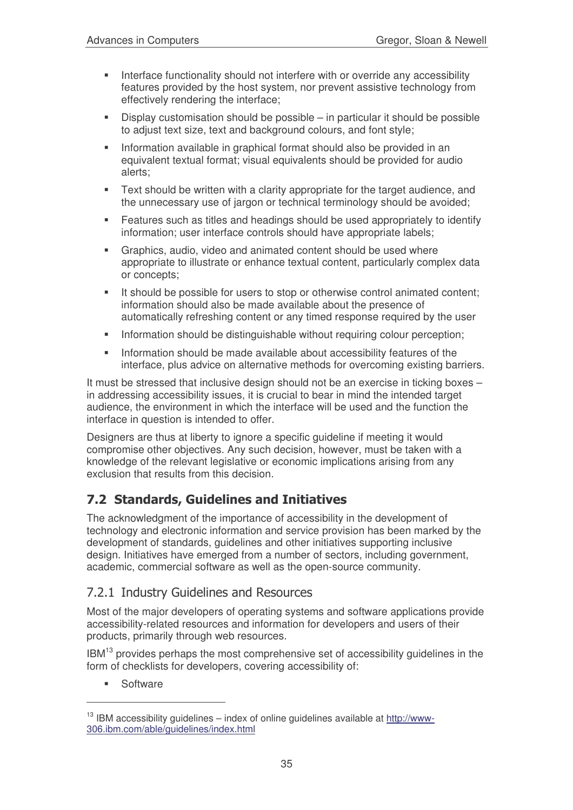- Interface functionality should not interfere with or override any accessibility features provided by the host system, nor prevent assistive technology from effectively rendering the interface;
- Display customisation should be possible in particular it should be possible to adjust text size, text and background colours, and font style;
- **Information available in graphical format should also be provided in an** equivalent textual format; visual equivalents should be provided for audio alerts;
- **Text should be written with a clarity appropriate for the target audience, and** the unnecessary use of jargon or technical terminology should be avoided;
- Features such as titles and headings should be used appropriately to identify information; user interface controls should have appropriate labels;
- Graphics, audio, video and animated content should be used where appropriate to illustrate or enhance textual content, particularly complex data or concepts;
- It should be possible for users to stop or otherwise control animated content; information should also be made available about the presence of automatically refreshing content or any timed response required by the user
- Information should be distinguishable without requiring colour perception;
- Information should be made available about accessibility features of the interface, plus advice on alternative methods for overcoming existing barriers.

It must be stressed that inclusive design should not be an exercise in ticking boxes – in addressing accessibility issues, it is crucial to bear in mind the intended target audience, the environment in which the interface will be used and the function the interface in question is intended to offer.

Designers are thus at liberty to ignore a specific quideline if meeting it would compromise other objectives. Any such decision, however, must be taken with a knowledge of the relevant legislative or economic implications arising from any exclusion that results from this decision.

# 7.2 Standards, Guidelines and Initiatives

The acknowledgment of the importance of accessibility in the development of technology and electronic information and service provision has been marked by the development of standards, guidelines and other initiatives supporting inclusive design. Initiatives have emerged from a number of sectors, including government, academic, commercial software as well as the open-source community.

#### 7.2.1 Industry Guidelines and Resources

Most of the major developers of operating systems and software applications provide accessibility-related resources and information for developers and users of their products, primarily through web resources.

IBM<sup>13</sup> provides perhaps the most comprehensive set of accessibility guidelines in the form of checklists for developers, covering accessibility of:

**Software** 

<sup>&</sup>lt;sup>13</sup> IBM accessibility guidelines – index of online guidelines available at http://www-306.ibm.com/able/guidelines/index.html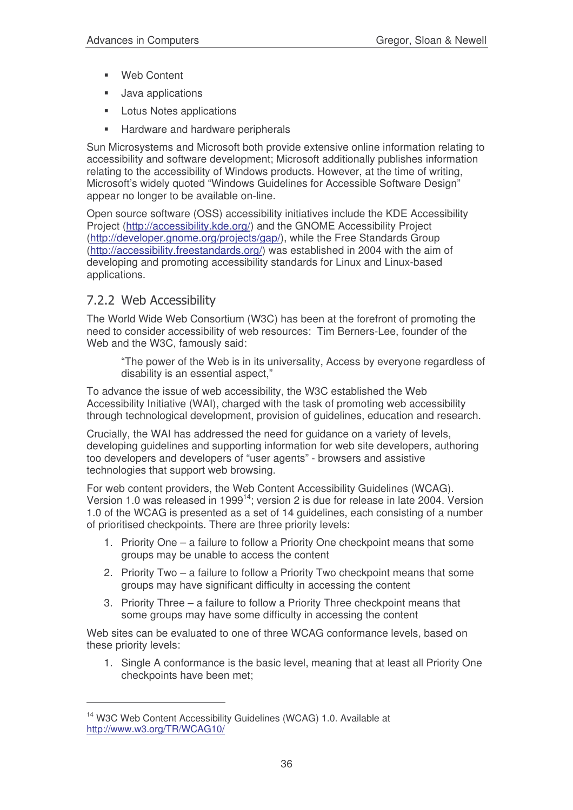- Web Content
- **Java applications**
- Lotus Notes applications
- Hardware and hardware peripherals

Sun Microsystems and Microsoft both provide extensive online information relating to accessibility and software development; Microsoft additionally publishes information relating to the accessibility of Windows products. However, at the time of writing, Microsoft's widely quoted "Windows Guidelines for Accessible Software Design" appear no longer to be available on-line.

Open source software (OSS) accessibility initiatives include the KDE Accessibility Project (http://accessibility.kde.org/) and the GNOME Accessibility Project (http://developer.gnome.org/projects/gap/), while the Free Standards Group (http://accessibility.freestandards.org/) was established in 2004 with the aim of developing and promoting accessibility standards for Linux and Linux-based applications.

### 7.2.2 Web Accessibility

The World Wide Web Consortium (W3C) has been at the forefront of promoting the need to consider accessibility of web resources: Tim Berners-Lee, founder of the Web and the W3C, famously said:

"The power of the Web is in its universality, Access by everyone regardless of disability is an essential aspect,"

To advance the issue of web accessibility, the W3C established the Web Accessibility Initiative (WAI), charged with the task of promoting web accessibility through technological development, provision of guidelines, education and research.

Crucially, the WAI has addressed the need for guidance on a variety of levels, developing guidelines and supporting information for web site developers, authoring too developers and developers of "user agents" - browsers and assistive technologies that support web browsing.

For web content providers, the Web Content Accessibility Guidelines (WCAG). Version 1.0 was released in 1999<sup>14</sup>; version 2 is due for release in late 2004. Version 1.0 of the WCAG is presented as a set of 14 guidelines, each consisting of a number of prioritised checkpoints. There are three priority levels:

- 1. Priority One a failure to follow a Priority One checkpoint means that some groups may be unable to access the content
- 2. Priority Two a failure to follow a Priority Two checkpoint means that some groups may have significant difficulty in accessing the content
- 3. Priority Three a failure to follow a Priority Three checkpoint means that some groups may have some difficulty in accessing the content

Web sites can be evaluated to one of three WCAG conformance levels, based on these priority levels:

1. Single A conformance is the basic level, meaning that at least all Priority One checkpoints have been met;

<sup>&</sup>lt;sup>14</sup> W3C Web Content Accessibility Guidelines (WCAG) 1.0. Available at http://www.w3.org/TR/WCAG10/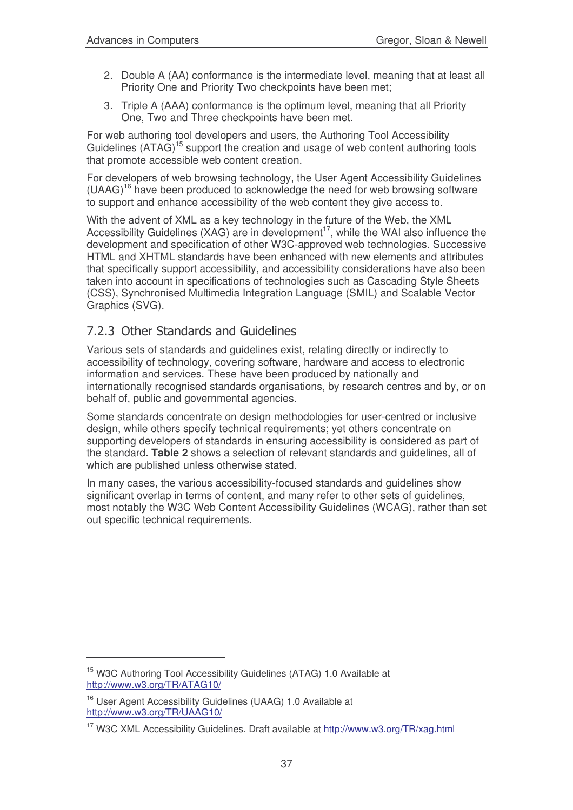- 2. Double A (AA) conformance is the intermediate level, meaning that at least all Priority One and Priority Two checkpoints have been met;
- 3. Triple A (AAA) conformance is the optimum level, meaning that all Priority One, Two and Three checkpoints have been met.

For web authoring tool developers and users, the Authoring Tool Accessibility Guidelines (ATAG)<sup>15</sup> support the creation and usage of web content authoring tools that promote accessible web content creation.

For developers of web browsing technology, the User Agent Accessibility Guidelines (UAAG) 16 have been produced to acknowledge the need for web browsing software to support and enhance accessibility of the web content they give access to.

With the advent of XML as a key technology in the future of the Web, the XML Accessibility Guidelines (XAG) are in development<sup>17</sup>, while the WAI also influence the development and specification of other W3C-approved web technologies. Successive HTML and XHTML standards have been enhanced with new elements and attributes that specifically support accessibility, and accessibility considerations have also been taken into account in specifications of technologies such as Cascading Style Sheets (CSS), Synchronised Multimedia Integration Language (SMIL) and Scalable Vector Graphics (SVG).

#### 7.2.3 Other Standards and Guidelines

Various sets of standards and guidelines exist, relating directly or indirectly to accessibility of technology, covering software, hardware and access to electronic information and services. These have been produced by nationally and internationally recognised standards organisations, by research centres and by, or on behalf of, public and governmental agencies.

Some standards concentrate on design methodologies for user-centred or inclusive design, while others specify technical requirements; yet others concentrate on supporting developers of standards in ensuring accessibility is considered as part of the standard. **Table 2** shows a selection of relevant standards and guidelines, all of which are published unless otherwise stated.

In many cases, the various accessibility-focused standards and guidelines show significant overlap in terms of content, and many refer to other sets of guidelines, most notably the W3C Web Content Accessibility Guidelines (WCAG), rather than set out specific technical requirements.

<sup>&</sup>lt;sup>15</sup> W3C Authoring Tool Accessibility Guidelines (ATAG) 1.0 Available at http://www.w3.org/TR/ATAG10/

<sup>&</sup>lt;sup>16</sup> User Agent Accessibility Guidelines (UAAG) 1.0 Available at http://www.w3.org/TR/UAAG10/

<sup>&</sup>lt;sup>17</sup> W3C XML Accessibility Guidelines. Draft available at http://www.w3.org/TR/xag.html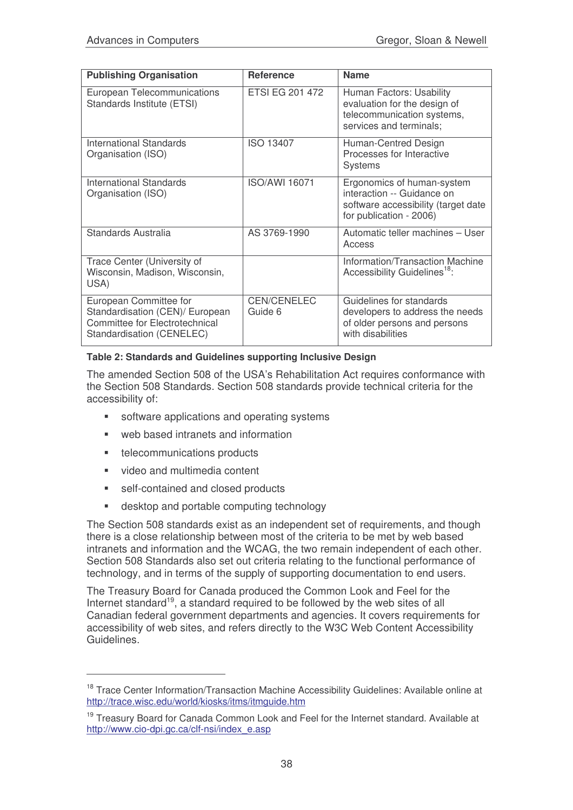| <b>Publishing Organisation</b>                                                                                           | <b>Reference</b>              | <b>Name</b>                                                                                                                |
|--------------------------------------------------------------------------------------------------------------------------|-------------------------------|----------------------------------------------------------------------------------------------------------------------------|
| European Telecommunications<br>Standards Institute (ETSI)                                                                | <b>ETSI EG 201 472</b>        | Human Factors: Usability<br>evaluation for the design of<br>telecommunication systems,<br>services and terminals;          |
| International Standards<br>Organisation (ISO)                                                                            | <b>ISO 13407</b>              | Human-Centred Design<br>Processes for Interactive<br><b>Systems</b>                                                        |
| <b>International Standards</b><br>Organisation (ISO)                                                                     | ISO/AWI 16071                 | Ergonomics of human-system<br>interaction -- Guidance on<br>software accessibility (target date<br>for publication - 2006) |
| Standards Australia                                                                                                      | AS 3769-1990                  | Automatic teller machines - User<br>Access                                                                                 |
| Trace Center (University of<br>Wisconsin, Madison, Wisconsin,<br>USA)                                                    |                               | Information/Transaction Machine<br>Accessibility Guidelines <sup>18</sup> :                                                |
| European Committee for<br>Standardisation (CEN)/ European<br>Committee for Electrotechnical<br>Standardisation (CENELEC) | <b>CEN/CENELEC</b><br>Guide 6 | Guidelines for standards<br>developers to address the needs<br>of older persons and persons<br>with disabilities           |

#### **Table 2: Standards and Guidelines supporting Inclusive Design**

The amended Section 508 of the USA's Rehabilitation Act requires conformance with the Section 508 Standards. Section 508 standards provide technical criteria for the accessibility of:

- software applications and operating systems
- web based intranets and information
- **telecommunications products**
- video and multimedia content
- self-contained and closed products
- **desktop and portable computing technology**

The Section 508 standards exist as an independent set of requirements, and though there is a close relationship between most of the criteria to be met by web based intranets and information and the WCAG, the two remain independent of each other. Section 508 Standards also set out criteria relating to the functional performance of technology, and in terms of the supply of supporting documentation to end users.

The Treasury Board for Canada produced the Common Look and Feel for the Internet standard<sup>19</sup>, a standard required to be followed by the web sites of all Canadian federal government departments and agencies. It covers requirements for accessibility of web sites, and refers directly to the W3C Web Content Accessibility Guidelines.

<sup>&</sup>lt;sup>18</sup> Trace Center Information/Transaction Machine Accessibility Guidelines: Available online at http://trace.wisc.edu/world/kiosks/itms/itmguide.htm

<sup>&</sup>lt;sup>19</sup> Treasury Board for Canada Common Look and Feel for the Internet standard. Available at http://www.cio-dpi.gc.ca/clf-nsi/index\_e.asp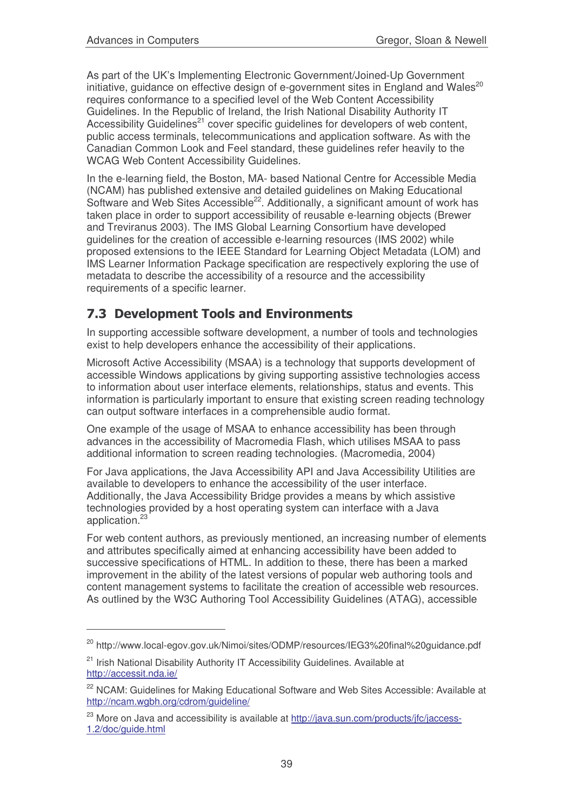As part of the UK's Implementing Electronic Government/Joined-Up Government initiative, guidance on effective design of e-government sites in England and Wales<sup>20</sup> requires conformance to a specified level of the Web Content Accessibility Guidelines. In the Republic of Ireland, the Irish National Disability Authority IT Accessibility Guidelines<sup>21</sup> cover specific guidelines for developers of web content, public access terminals, telecommunications and application software. As with the Canadian Common Look and Feel standard, these guidelines refer heavily to the WCAG Web Content Accessibility Guidelines.

In the e-learning field, the Boston, MA- based National Centre for Accessible Media (NCAM) has published extensive and detailed guidelines on Making Educational Software and Web Sites Accessible<sup>22</sup>. Additionally, a significant amount of work has taken place in order to support accessibility of reusable e-learning objects (Brewer and Treviranus 2003). The IMS Global Learning Consortium have developed guidelines for the creation of accessible e-learning resources (IMS 2002) while proposed extensions to the IEEE Standard for Learning Object Metadata (LOM) and IMS Learner Information Package specification are respectively exploring the use of metadata to describe the accessibility of a resource and the accessibility requirements of a specific learner.

# 7.3 Development Tools and Environments

In supporting accessible software development, a number of tools and technologies exist to help developers enhance the accessibility of their applications.

Microsoft Active Accessibility (MSAA) is a technology that supports development of accessible Windows applications by giving supporting assistive technologies access to information about user interface elements, relationships, status and events. This information is particularly important to ensure that existing screen reading technology can output software interfaces in a comprehensible audio format.

One example of the usage of MSAA to enhance accessibility has been through advances in the accessibility of Macromedia Flash, which utilises MSAA to pass additional information to screen reading technologies. (Macromedia, 2004)

For Java applications, the Java Accessibility API and Java Accessibility Utilities are available to developers to enhance the accessibility of the user interface. Additionally, the Java Accessibility Bridge provides a means by which assistive technologies provided by a host operating system can interface with a Java application. 23

For web content authors, as previously mentioned, an increasing number of elements and attributes specifically aimed at enhancing accessibility have been added to successive specifications of HTML. In addition to these, there has been a marked improvement in the ability of the latest versions of popular web authoring tools and content management systems to facilitate the creation of accessible web resources. As outlined by the W3C Authoring Tool Accessibility Guidelines (ATAG), accessible

<sup>&</sup>lt;sup>20</sup> http://www.local-egov.gov.uk/Nimoi/sites/ODMP/resources/IEG3%20final%20guidance.pdf

<sup>&</sup>lt;sup>21</sup> Irish National Disability Authority IT Accessibility Guidelines. Available at http://accessit.nda.ie/

<sup>&</sup>lt;sup>22</sup> NCAM: Guidelines for Making Educational Software and Web Sites Accessible: Available at http://ncam.wgbh.org/cdrom/guideline/

 $23$  More on Java and accessibility is available at http://java.sun.com/products/ifc/jaccess-1.2/doc/guide.html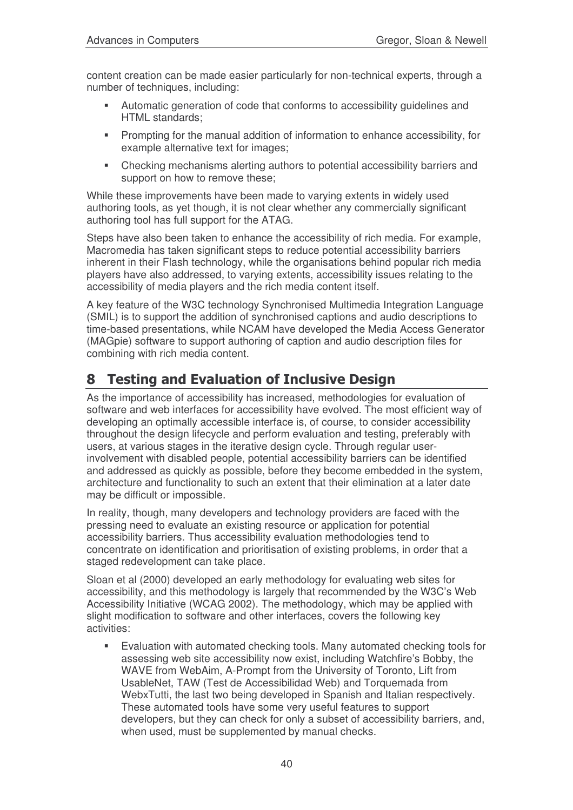content creation can be made easier particularly for non-technical experts, through a number of techniques, including:

- Automatic generation of code that conforms to accessibility guidelines and HTML standards;
- **Prompting for the manual addition of information to enhance accessibility, for** example alternative text for images;
- Checking mechanisms alerting authors to potential accessibility barriers and support on how to remove these;

While these improvements have been made to varying extents in widely used authoring tools, as yet though, it is not clear whether any commercially significant authoring tool has full support for the ATAG.

Steps have also been taken to enhance the accessibility of rich media. For example, Macromedia has taken significant steps to reduce potential accessibility barriers inherent in their Flash technology, while the organisations behind popular rich media players have also addressed, to varying extents, accessibility issues relating to the accessibility of media players and the rich media content itself.

A key feature of the W3C technology Synchronised Multimedia Integration Language (SMIL) is to support the addition of synchronised captions and audio descriptions to time-based presentations, while NCAM have developed the Media Access Generator (MAGpie) software to support authoring of caption and audio description files for combining with rich media content.

# 8 Testing and Evaluation of Inclusive Design

As the importance of accessibility has increased, methodologies for evaluation of software and web interfaces for accessibility have evolved. The most efficient way of developing an optimally accessible interface is, of course, to consider accessibility throughout the design lifecycle and perform evaluation and testing, preferably with users, at various stages in the iterative design cycle. Through regular userinvolvement with disabled people, potential accessibility barriers can be identified and addressed as quickly as possible, before they become embedded in the system, architecture and functionality to such an extent that their elimination at a later date may be difficult or impossible.

In reality, though, many developers and technology providers are faced with the pressing need to evaluate an existing resource or application for potential accessibility barriers. Thus accessibility evaluation methodologies tend to concentrate on identification and prioritisation of existing problems, in order that a staged redevelopment can take place.

Sloan et al (2000) developed an early methodology for evaluating web sites for accessibility, and this methodology is largely that recommended by the W3C's Web Accessibility Initiative (WCAG 2002). The methodology, which may be applied with slight modification to software and other interfaces, covers the following key activities:

 Evaluation with automated checking tools. Many automated checking tools for assessing web site accessibility now exist, including Watchfire's Bobby, the WAVE from WebAim, A-Prompt from the University of Toronto, Lift from UsableNet, TAW (Test de Accessibilidad Web) and Torquemada from WebxTutti, the last two being developed in Spanish and Italian respectively. These automated tools have some very useful features to support developers, but they can check for only a subset of accessibility barriers, and, when used, must be supplemented by manual checks.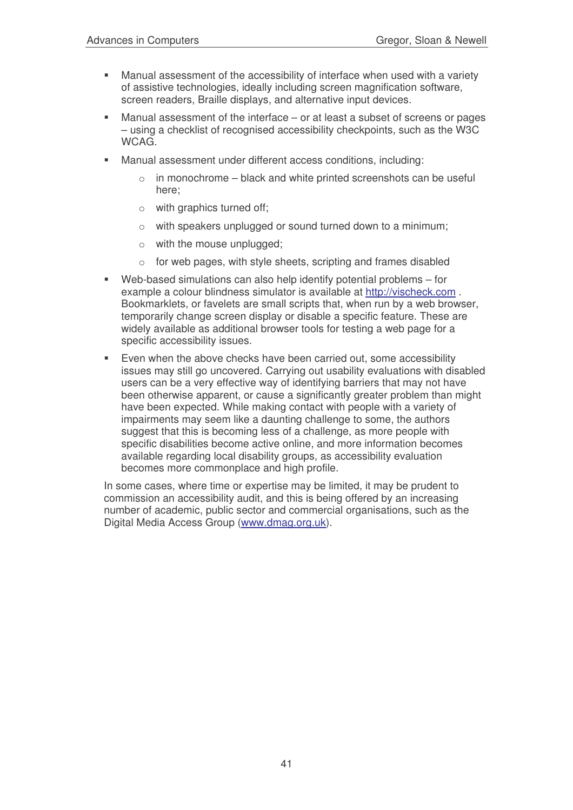- Manual assessment of the accessibility of interface when used with a variety of assistive technologies, ideally including screen magnification software, screen readers, Braille displays, and alternative input devices.
- Manual assessment of the interface or at least a subset of screens or pages – using a checklist of recognised accessibility checkpoints, such as the W3C WCAG.
- Manual assessment under different access conditions, including:
	- $\circ$  in monochrome black and white printed screenshots can be useful here;
	- $\circ$  with graphics turned off:
	- o with speakers unplugged or sound turned down to a minimum;
	- o with the mouse unplugged;
	- o for web pages, with style sheets, scripting and frames disabled
- Web-based simulations can also help identify potential problems for example a colour blindness simulator is available at http://vischeck.com . Bookmarklets, or favelets are small scripts that, when run by a web browser, temporarily change screen display or disable a specific feature. These are widely available as additional browser tools for testing a web page for a specific accessibility issues.
- Even when the above checks have been carried out, some accessibility issues may still go uncovered. Carrying out usability evaluations with disabled users can be a very effective way of identifying barriers that may not have been otherwise apparent, or cause a significantly greater problem than might have been expected. While making contact with people with a variety of impairments may seem like a daunting challenge to some, the authors suggest that this is becoming less of a challenge, as more people with specific disabilities become active online, and more information becomes available regarding local disability groups, as accessibility evaluation becomes more commonplace and high profile.

In some cases, where time or expertise may be limited, it may be prudent to commission an accessibility audit, and this is being offered by an increasing number of academic, public sector and commercial organisations, such as the Digital Media Access Group (www.dmag.org.uk).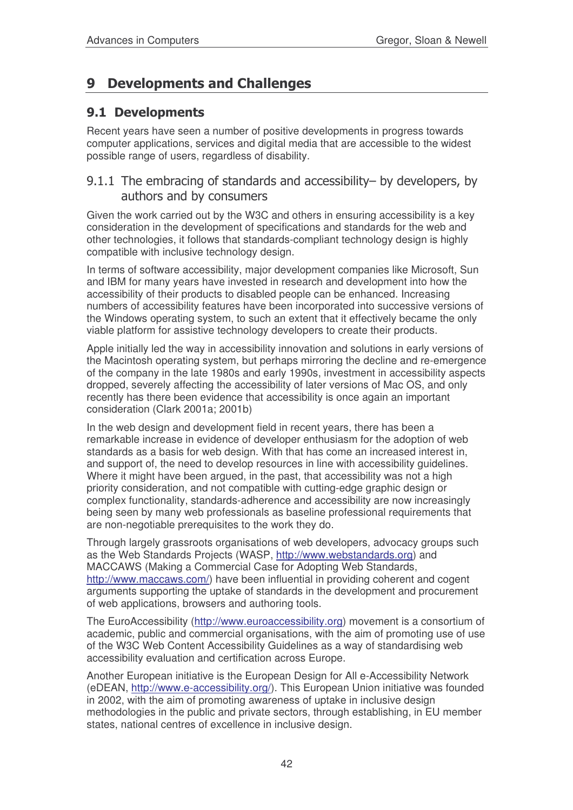# 9 Developments and Challenges

### 9.1 Developments

Recent years have seen a number of positive developments in progress towards computer applications, services and digital media that are accessible to the widest possible range of users, regardless of disability.

#### 9.1.1 The embracing of standards and accessibility– by developers, by authors and by consumers

Given the work carried out by the W3C and others in ensuring accessibility is a key consideration in the development of specifications and standards for the web and other technologies, it follows that standards-compliant technology design is highly compatible with inclusive technology design.

In terms of software accessibility, major development companies like Microsoft, Sun and IBM for many years have invested in research and development into how the accessibility of their products to disabled people can be enhanced. Increasing numbers of accessibility features have been incorporated into successive versions of the Windows operating system, to such an extent that it effectively became the only viable platform for assistive technology developers to create their products.

Apple initially led the way in accessibility innovation and solutions in early versions of the Macintosh operating system, but perhaps mirroring the decline and re-emergence of the company in the late 1980s and early 1990s, investment in accessibility aspects dropped, severely affecting the accessibility of later versions of Mac OS, and only recently has there been evidence that accessibility is once again an important consideration (Clark 2001a; 2001b)

In the web design and development field in recent years, there has been a remarkable increase in evidence of developer enthusiasm for the adoption of web standards as a basis for web design. With that has come an increased interest in, and support of, the need to develop resources in line with accessibility guidelines. Where it might have been argued, in the past, that accessibility was not a high priority consideration, and not compatible with cutting-edge graphic design or complex functionality, standards-adherence and accessibility are now increasingly being seen by many web professionals as baseline professional requirements that are non-negotiable prerequisites to the work they do.

Through largely grassroots organisations of web developers, advocacy groups such as the Web Standards Projects (WASP, http://www.webstandards.org) and MACCAWS (Making a Commercial Case for Adopting Web Standards, http://www.maccaws.com/) have been influential in providing coherent and cogent arguments supporting the uptake of standards in the development and procurement of web applications, browsers and authoring tools.

The EuroAccessibility (http://www.euroaccessibility.org) movement is a consortium of academic, public and commercial organisations, with the aim of promoting use of use of the W3C Web Content Accessibility Guidelines as a way of standardising web accessibility evaluation and certification across Europe.

Another European initiative is the European Design for All e-Accessibility Network (eDEAN, http://www.e-accessibility.org/). This European Union initiative was founded in 2002, with the aim of promoting awareness of uptake in inclusive design methodologies in the public and private sectors, through establishing, in EU member states, national centres of excellence in inclusive design.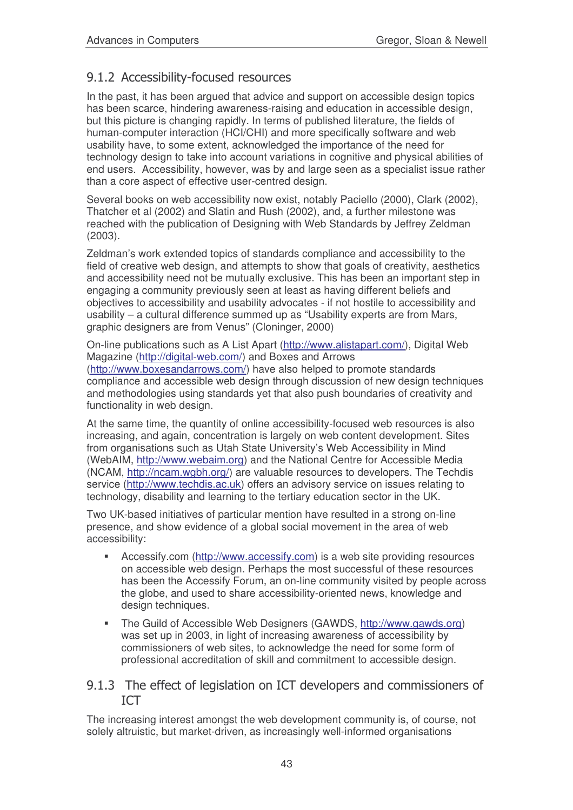## 9.1.2 Accessibility-focused resources

In the past, it has been argued that advice and support on accessible design topics has been scarce, hindering awareness-raising and education in accessible design, but this picture is changing rapidly. In terms of published literature, the fields of human-computer interaction (HCI/CHI) and more specifically software and web usability have, to some extent, acknowledged the importance of the need for technology design to take into account variations in cognitive and physical abilities of end users. Accessibility, however, was by and large seen as a specialist issue rather than a core aspect of effective user-centred design.

Several books on web accessibility now exist, notably Paciello (2000), Clark (2002), Thatcher et al (2002) and Slatin and Rush (2002), and, a further milestone was reached with the publication of Designing with Web Standards by Jeffrey Zeldman (2003).

Zeldman's work extended topics of standards compliance and accessibility to the field of creative web design, and attempts to show that goals of creativity, aesthetics and accessibility need not be mutually exclusive. This has been an important step in engaging a community previously seen at least as having different beliefs and objectives to accessibility and usability advocates - if not hostile to accessibility and usability – a cultural difference summed up as "Usability experts are from Mars, graphic designers are from Venus" (Cloninger, 2000)

On-line publications such as A List Apart (http://www.alistapart.com/), Digital Web Magazine (http://digital-web.com/) and Boxes and Arrows (http://www.boxesandarrows.com/) have also helped to promote standards compliance and accessible web design through discussion of new design techniques and methodologies using standards yet that also push boundaries of creativity and functionality in web design.

At the same time, the quantity of online accessibility-focused web resources is also increasing, and again, concentration is largely on web content development. Sites from organisations such as Utah State University's Web Accessibility in Mind (WebAIM, http://www.webaim.org) and the National Centre for Accessible Media (NCAM, http://ncam.wgbh.org/) are valuable resources to developers. The Techdis service (http://www.techdis.ac.uk) offers an advisory service on issues relating to technology, disability and learning to the tertiary education sector in the UK.

Two UK-based initiatives of particular mention have resulted in a strong on-line presence, and show evidence of a global social movement in the area of web accessibility:

- Accessify.com (http://www.accessify.com) is a web site providing resources on accessible web design. Perhaps the most successful of these resources has been the Accessify Forum, an on-line community visited by people across the globe, and used to share accessibility-oriented news, knowledge and design techniques.
- The Guild of Accessible Web Designers (GAWDS, http://www.gawds.org) was set up in 2003, in light of increasing awareness of accessibility by commissioners of web sites, to acknowledge the need for some form of professional accreditation of skill and commitment to accessible design.

#### 9.1.3 The effect of legislation on ICT developers and commissioners of  $TCT$

The increasing interest amongst the web development community is, of course, not solely altruistic, but market-driven, as increasingly well-informed organisations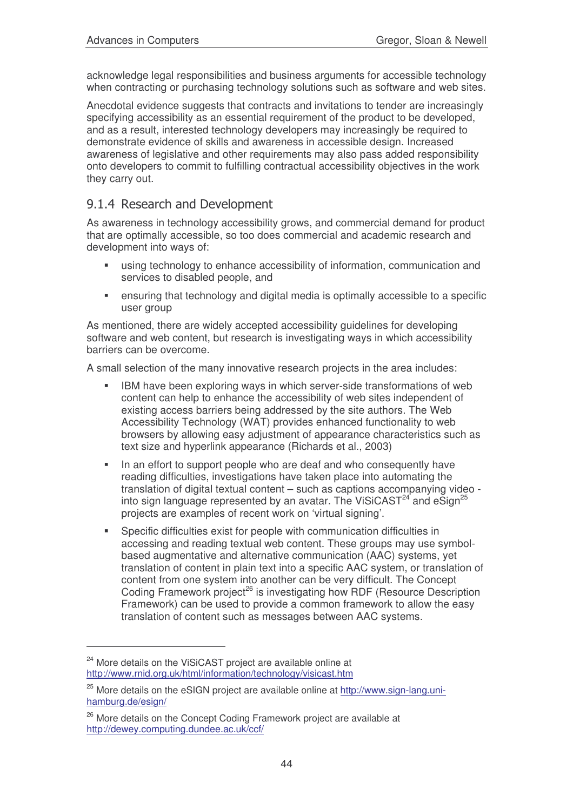acknowledge legal responsibilities and business arguments for accessible technology when contracting or purchasing technology solutions such as software and web sites.

Anecdotal evidence suggests that contracts and invitations to tender are increasingly specifying accessibility as an essential requirement of the product to be developed, and as a result, interested technology developers may increasingly be required to demonstrate evidence of skills and awareness in accessible design. Increased awareness of legislative and other requirements may also pass added responsibility onto developers to commit to fulfilling contractual accessibility objectives in the work they carry out.

#### 9.1.4 Research and Development

As awareness in technology accessibility grows, and commercial demand for product that are optimally accessible, so too does commercial and academic research and development into ways of:

- using technology to enhance accessibility of information, communication and services to disabled people, and
- ensuring that technology and digital media is optimally accessible to a specific user group

As mentioned, there are widely accepted accessibility guidelines for developing software and web content, but research is investigating ways in which accessibility barriers can be overcome.

A small selection of the many innovative research projects in the area includes:

- IBM have been exploring ways in which server-side transformations of web content can help to enhance the accessibility of web sites independent of existing access barriers being addressed by the site authors. The Web Accessibility Technology (WAT) provides enhanced functionality to web browsers by allowing easy adjustment of appearance characteristics such as text size and hyperlink appearance (Richards et al., 2003)
- In an effort to support people who are deaf and who consequently have reading difficulties, investigations have taken place into automating the translation of digital textual content – such as captions accompanying video into sign language represented by an avatar. The ViSiCAST<sup>24</sup> and  $e$ Sign<sup>25</sup> projects are examples of recent work on 'virtual signing'.
- Specific difficulties exist for people with communication difficulties in accessing and reading textual web content. These groups may use symbolbased augmentative and alternative communication (AAC) systems, yet translation of content in plain text into a specific AAC system, or translation of content from one system into another can be very difficult. The Concept Coding Framework project<sup>26</sup> is investigating how RDF (Resource Description Framework) can be used to provide a common framework to allow the easy translation of content such as messages between AAC systems.

<sup>&</sup>lt;sup>24</sup> More details on the ViSiCAST project are available online at http://www.rnid.org.uk/html/information/technology/visicast.htm

<sup>&</sup>lt;sup>25</sup> More details on the eSIGN project are available online at http://www.sign-lang.unihamburg.de/esign/

<sup>&</sup>lt;sup>26</sup> More details on the Concept Coding Framework project are available at http://dewey.computing.dundee.ac.uk/ccf/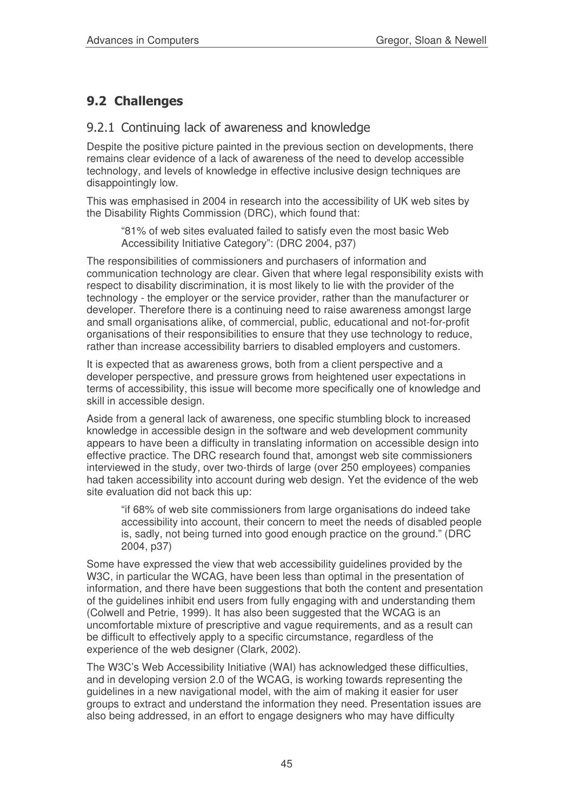# 9.2 Challenges

#### 9.2.1 Continuing lack of awareness and knowledge

Despite the positive picture painted in the previous section on developments, there remains clear evidence of a lack of awareness of the need to develop accessible technology, and levels of knowledge in effective inclusive design techniques are disappointingly low.

This was emphasised in 2004 in research into the accessibility of UK web sites by the Disability Rights Commission (DRC), which found that:

"81% of web sites evaluated failed to satisfy even the most basic Web Accessibility Initiative Category": (DRC 2004, p37)

The responsibilities of commissioners and purchasers of information and communication technology are clear. Given that where legal responsibility exists with respect to disability discrimination, it is most likely to lie with the provider of the technology - the employer or the service provider, rather than the manufacturer or developer. Therefore there is a continuing need to raise awareness amongst large and small organisations alike, of commercial, public, educational and not-for-profit organisations of their responsibilities to ensure that they use technology to reduce, rather than increase accessibility barriers to disabled employers and customers.

It is expected that as awareness grows, both from a client perspective and a developer perspective, and pressure grows from heightened user expectations in terms of accessibility, this issue will become more specifically one of knowledge and skill in accessible design.

Aside from a general lack of awareness, one specific stumbling block to increased knowledge in accessible design in the software and web development community appears to have been a difficulty in translating information on accessible design into effective practice. The DRC research found that, amongst web site commissioners interviewed in the study, over two-thirds of large (over 250 employees) companies had taken accessibility into account during web design. Yet the evidence of the web site evaluation did not back this up:

"if 68% of web site commissioners from large organisations do indeed take accessibility into account, their concern to meet the needs of disabled people is, sadly, not being turned into good enough practice on the ground." (DRC 2004, p37)

Some have expressed the view that web accessibility guidelines provided by the W3C, in particular the WCAG, have been less than optimal in the presentation of information, and there have been suggestions that both the content and presentation of the guidelines inhibit end users from fully engaging with and understanding them (Colwell and Petrie, 1999). It has also been suggested that the WCAG is an uncomfortable mixture of prescriptive and vague requirements, and as a result can be difficult to effectively apply to a specific circumstance, regardless of the experience of the web designer (Clark, 2002).

The W3C's Web Accessibility Initiative (WAI) has acknowledged these difficulties, and in developing version 2.0 of the WCAG, is working towards representing the guidelines in a new navigational model, with the aim of making it easier for user groups to extract and understand the information they need. Presentation issues are also being addressed, in an effort to engage designers who may have difficulty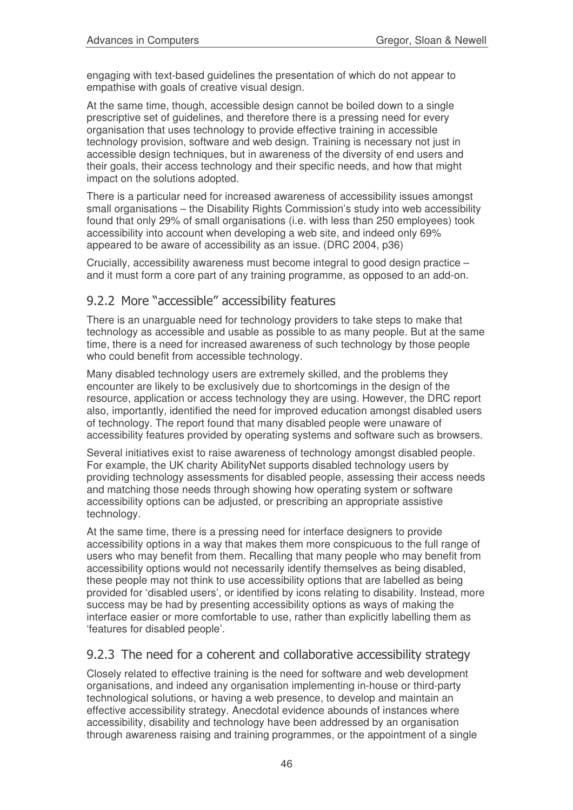engaging with text-based guidelines the presentation of which do not appear to empathise with goals of creative visual design.

At the same time, though, accessible design cannot be boiled down to a single prescriptive set of guidelines, and therefore there is a pressing need for every organisation that uses technology to provide effective training in accessible technology provision, software and web design. Training is necessary not just in accessible design techniques, but in awareness of the diversity of end users and their goals, their access technology and their specific needs, and how that might impact on the solutions adopted.

There is a particular need for increased awareness of accessibility issues amongst small organisations – the Disability Rights Commission's study into web accessibility found that only 29% of small organisations (i.e. with less than 250 employees) took accessibility into account when developing a web site, and indeed only 69% appeared to be aware of accessibility as an issue. (DRC 2004, p36)

Crucially, accessibility awareness must become integral to good design practice – and it must form a core part of any training programme, as opposed to an add-on.

#### 9.2.2 More "accessible" accessibility features

There is an unarguable need for technology providers to take steps to make that technology as accessible and usable as possible to as many people. But at the same time, there is a need for increased awareness of such technology by those people who could benefit from accessible technology.

Many disabled technology users are extremely skilled, and the problems they encounter are likely to be exclusively due to shortcomings in the design of the resource, application or access technology they are using. However, the DRC report also, importantly, identified the need for improved education amongst disabled users of technology. The report found that many disabled people were unaware of accessibility features provided by operating systems and software such as browsers.

Several initiatives exist to raise awareness of technology amongst disabled people. For example, the UK charity AbilityNet supports disabled technology users by providing technology assessments for disabled people, assessing their access needs and matching those needs through showing how operating system or software accessibility options can be adjusted, or prescribing an appropriate assistive technology.

At the same time, there is a pressing need for interface designers to provide accessibility options in a way that makes them more conspicuous to the full range of users who may benefit from them. Recalling that many people who may benefit from accessibility options would not necessarily identify themselves as being disabled, these people may not think to use accessibility options that are labelled as being provided for 'disabled users', or identified by icons relating to disability. Instead, more success may be had by presenting accessibility options as ways of making the interface easier or more comfortable to use, rather than explicitly labelling them as 'features for disabled people'.

#### 9.2.3 The need for a coherent and collaborative accessibility strategy

Closely related to effective training is the need for software and web development organisations, and indeed any organisation implementing in-house or third-party technological solutions, or having a web presence, to develop and maintain an effective accessibility strategy. Anecdotal evidence abounds of instances where accessibility, disability and technology have been addressed by an organisation through awareness raising and training programmes, or the appointment of a single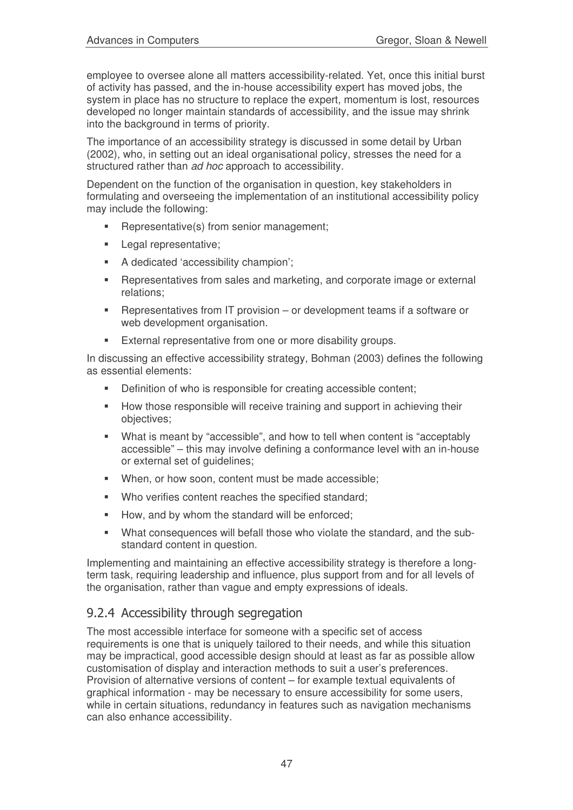employee to oversee alone all matters accessibility-related. Yet, once this initial burst of activity has passed, and the in-house accessibility expert has moved jobs, the system in place has no structure to replace the expert, momentum is lost, resources developed no longer maintain standards of accessibility, and the issue may shrink into the background in terms of priority.

The importance of an accessibility strategy is discussed in some detail by Urban (2002), who, in setting out an ideal organisational policy, stresses the need for a structured rather than *ad hoc* approach to accessibility.

Dependent on the function of the organisation in question, key stakeholders in formulating and overseeing the implementation of an institutional accessibility policy may include the following:

- Representative(s) from senior management;
- **Legal representative;**
- A dedicated 'accessibility champion';
- Representatives from sales and marketing, and corporate image or external relations;
- Representatives from IT provision or development teams if a software or web development organisation.
- External representative from one or more disability groups.

In discussing an effective accessibility strategy, Bohman (2003) defines the following as essential elements:

- Definition of who is responsible for creating accessible content;
- How those responsible will receive training and support in achieving their objectives;
- What is meant by "accessible", and how to tell when content is "acceptably accessible" – this may involve defining a conformance level with an in-house or external set of guidelines;
- When, or how soon, content must be made accessible;
- Who verifies content reaches the specified standard;
- How, and by whom the standard will be enforced;
- What consequences will befall those who violate the standard, and the substandard content in question.

Implementing and maintaining an effective accessibility strategy is therefore a longterm task, requiring leadership and influence, plus support from and for all levels of the organisation, rather than vague and empty expressions of ideals.

#### 9.2.4 Accessibility through segregation

The most accessible interface for someone with a specific set of access requirements is one that is uniquely tailored to their needs, and while this situation may be impractical, good accessible design should at least as far as possible allow customisation of display and interaction methods to suit a user's preferences. Provision of alternative versions of content – for example textual equivalents of graphical information - may be necessary to ensure accessibility for some users, while in certain situations, redundancy in features such as navigation mechanisms can also enhance accessibility.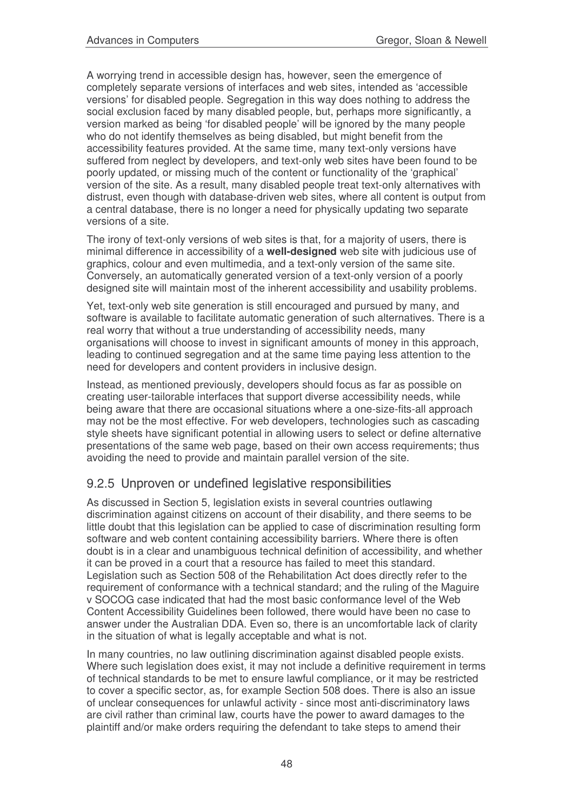A worrying trend in accessible design has, however, seen the emergence of completely separate versions of interfaces and web sites, intended as 'accessible versions' for disabled people. Segregation in this way does nothing to address the social exclusion faced by many disabled people, but, perhaps more significantly, a version marked as being 'for disabled people' will be ignored by the many people who do not identify themselves as being disabled, but might benefit from the accessibility features provided. At the same time, many text-only versions have suffered from neglect by developers, and text-only web sites have been found to be poorly updated, or missing much of the content or functionality of the 'graphical' version of the site. As a result, many disabled people treat text-only alternatives with distrust, even though with database-driven web sites, where all content is output from a central database, there is no longer a need for physically updating two separate versions of a site.

The irony of text-only versions of web sites is that, for a majority of users, there is minimal difference in accessibility of a **well-designed** web site with judicious use of graphics, colour and even multimedia, and a text-only version of the same site. Conversely, an automatically generated version of a text-only version of a poorly designed site will maintain most of the inherent accessibility and usability problems.

Yet, text-only web site generation is still encouraged and pursued by many, and software is available to facilitate automatic generation of such alternatives. There is a real worry that without a true understanding of accessibility needs, many organisations will choose to invest in significant amounts of money in this approach, leading to continued segregation and at the same time paying less attention to the need for developers and content providers in inclusive design.

Instead, as mentioned previously, developers should focus as far as possible on creating user-tailorable interfaces that support diverse accessibility needs, while being aware that there are occasional situations where a one-size-fits-all approach may not be the most effective. For web developers, technologies such as cascading style sheets have significant potential in allowing users to select or define alternative presentations of the same web page, based on their own access requirements; thus avoiding the need to provide and maintain parallel version of the site.

### 9.2.5 Unproven or undefined legislative responsibilities

As discussed in Section 5, legislation exists in several countries outlawing discrimination against citizens on account of their disability, and there seems to be little doubt that this legislation can be applied to case of discrimination resulting form software and web content containing accessibility barriers. Where there is often doubt is in a clear and unambiguous technical definition of accessibility, and whether it can be proved in a court that a resource has failed to meet this standard. Legislation such as Section 508 of the Rehabilitation Act does directly refer to the requirement of conformance with a technical standard; and the ruling of the Maguire v SOCOG case indicated that had the most basic conformance level of the Web Content Accessibility Guidelines been followed, there would have been no case to answer under the Australian DDA. Even so, there is an uncomfortable lack of clarity in the situation of what is legally acceptable and what is not.

In many countries, no law outlining discrimination against disabled people exists. Where such legislation does exist, it may not include a definitive requirement in terms of technical standards to be met to ensure lawful compliance, or it may be restricted to cover a specific sector, as, for example Section 508 does. There is also an issue of unclear consequences for unlawful activity - since most anti-discriminatory laws are civil rather than criminal law, courts have the power to award damages to the plaintiff and/or make orders requiring the defendant to take steps to amend their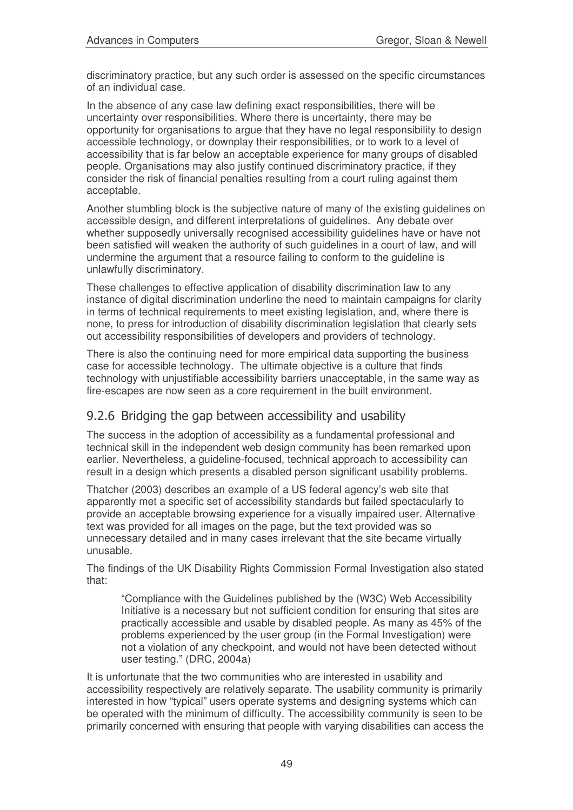discriminatory practice, but any such order is assessed on the specific circumstances of an individual case.

In the absence of any case law defining exact responsibilities, there will be uncertainty over responsibilities. Where there is uncertainty, there may be opportunity for organisations to argue that they have no legal responsibility to design accessible technology, or downplay their responsibilities, or to work to a level of accessibility that is far below an acceptable experience for many groups of disabled people. Organisations may also justify continued discriminatory practice, if they consider the risk of financial penalties resulting from a court ruling against them acceptable.

Another stumbling block is the subjective nature of many of the existing guidelines on accessible design, and different interpretations of guidelines. Any debate over whether supposedly universally recognised accessibility guidelines have or have not been satisfied will weaken the authority of such guidelines in a court of law, and will undermine the argument that a resource failing to conform to the guideline is unlawfully discriminatory.

These challenges to effective application of disability discrimination law to any instance of digital discrimination underline the need to maintain campaigns for clarity in terms of technical requirements to meet existing legislation, and, where there is none, to press for introduction of disability discrimination legislation that clearly sets out accessibility responsibilities of developers and providers of technology.

There is also the continuing need for more empirical data supporting the business case for accessible technology. The ultimate objective is a culture that finds technology with unjustifiable accessibility barriers unacceptable, in the same way as fire-escapes are now seen as a core requirement in the built environment.

#### 9.2.6 Bridging the gap between accessibility and usability

The success in the adoption of accessibility as a fundamental professional and technical skill in the independent web design community has been remarked upon earlier. Nevertheless, a guideline-focused, technical approach to accessibility can result in a design which presents a disabled person significant usability problems.

Thatcher (2003) describes an example of a US federal agency's web site that apparently met a specific set of accessibility standards but failed spectacularly to provide an acceptable browsing experience for a visually impaired user. Alternative text was provided for all images on the page, but the text provided was so unnecessary detailed and in many cases irrelevant that the site became virtually unusable.

The findings of the UK Disability Rights Commission Formal Investigation also stated that:

"Compliance with the Guidelines published by the (W3C) Web Accessibility Initiative is a necessary but not sufficient condition for ensuring that sites are practically accessible and usable by disabled people. As many as 45% of the problems experienced by the user group (in the Formal Investigation) were not a violation of any checkpoint, and would not have been detected without user testing." (DRC, 2004a)

It is unfortunate that the two communities who are interested in usability and accessibility respectively are relatively separate. The usability community is primarily interested in how "typical" users operate systems and designing systems which can be operated with the minimum of difficulty. The accessibility community is seen to be primarily concerned with ensuring that people with varying disabilities can access the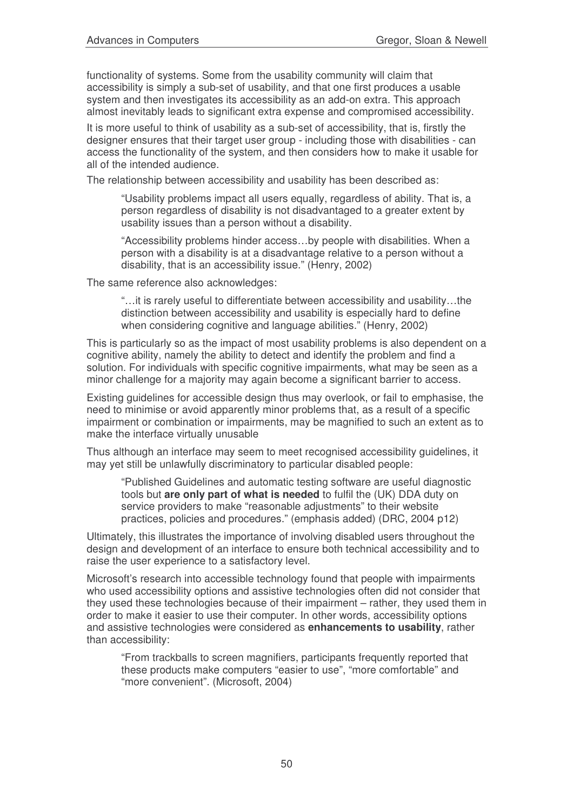functionality of systems. Some from the usability community will claim that accessibility is simply a sub-set of usability, and that one first produces a usable system and then investigates its accessibility as an add-on extra. This approach almost inevitably leads to significant extra expense and compromised accessibility.

It is more useful to think of usability as a sub-set of accessibility, that is, firstly the designer ensures that their target user group - including those with disabilities - can access the functionality of the system, and then considers how to make it usable for all of the intended audience.

The relationship between accessibility and usability has been described as:

"Usability problems impact all users equally, regardless of ability. That is, a person regardless of disability is not disadvantaged to a greater extent by usability issues than a person without a disability.

"Accessibility problems hinder access…by people with disabilities. When a person with a disability is at a disadvantage relative to a person without a disability, that is an accessibility issue." (Henry, 2002)

The same reference also acknowledges:

"…it is rarely useful to differentiate between accessibility and usability…the distinction between accessibility and usability is especially hard to define when considering cognitive and language abilities." (Henry, 2002)

This is particularly so as the impact of most usability problems is also dependent on a cognitive ability, namely the ability to detect and identify the problem and find a solution. For individuals with specific cognitive impairments, what may be seen as a minor challenge for a majority may again become a significant barrier to access.

Existing guidelines for accessible design thus may overlook, or fail to emphasise, the need to minimise or avoid apparently minor problems that, as a result of a specific impairment or combination or impairments, may be magnified to such an extent as to make the interface virtually unusable

Thus although an interface may seem to meet recognised accessibility guidelines, it may yet still be unlawfully discriminatory to particular disabled people:

"Published Guidelines and automatic testing software are useful diagnostic tools but **are only part of what is needed** to fulfil the (UK) DDA duty on service providers to make "reasonable adjustments" to their website practices, policies and procedures." (emphasis added) (DRC, 2004 p12)

Ultimately, this illustrates the importance of involving disabled users throughout the design and development of an interface to ensure both technical accessibility and to raise the user experience to a satisfactory level.

Microsoft's research into accessible technology found that people with impairments who used accessibility options and assistive technologies often did not consider that they used these technologies because of their impairment – rather, they used them in order to make it easier to use their computer. In other words, accessibility options and assistive technologies were considered as **enhancements to usability**, rather than accessibility:

"From trackballs to screen magnifiers, participants frequently reported that these products make computers "easier to use", "more comfortable" and "more convenient". (Microsoft, 2004)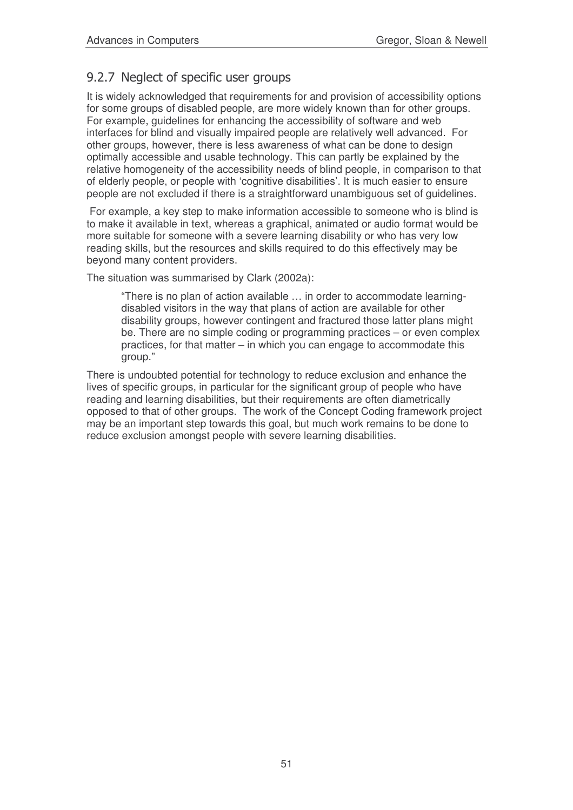## 9.2.7 Neglect of specific user groups

It is widely acknowledged that requirements for and provision of accessibility options for some groups of disabled people, are more widely known than for other groups. For example, guidelines for enhancing the accessibility of software and web interfaces for blind and visually impaired people are relatively well advanced. For other groups, however, there is less awareness of what can be done to design optimally accessible and usable technology. This can partly be explained by the relative homogeneity of the accessibility needs of blind people, in comparison to that of elderly people, or people with 'cognitive disabilities'. It is much easier to ensure people are not excluded if there is a straightforward unambiguous set of guidelines.

For example, a key step to make information accessible to someone who is blind is to make it available in text, whereas a graphical, animated or audio format would be more suitable for someone with a severe learning disability or who has very low reading skills, but the resources and skills required to do this effectively may be beyond many content providers.

The situation was summarised by Clark (2002a):

"There is no plan of action available … in order to accommodate learningdisabled visitors in the way that plans of action are available for other disability groups, however contingent and fractured those latter plans might be. There are no simple coding or programming practices – or even complex practices, for that matter – in which you can engage to accommodate this group."

There is undoubted potential for technology to reduce exclusion and enhance the lives of specific groups, in particular for the significant group of people who have reading and learning disabilities, but their requirements are often diametrically opposed to that of other groups. The work of the Concept Coding framework project may be an important step towards this goal, but much work remains to be done to reduce exclusion amongst people with severe learning disabilities.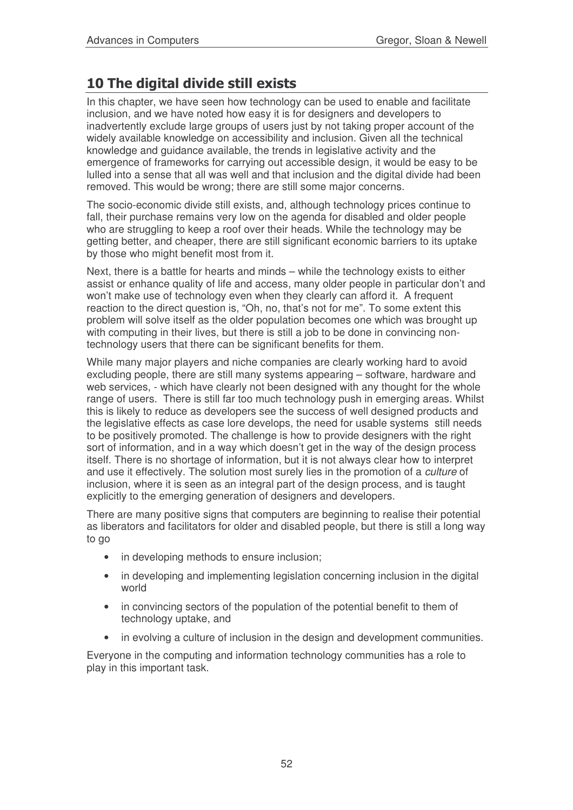# 10 The digital divide still exists

In this chapter, we have seen how technology can be used to enable and facilitate inclusion, and we have noted how easy it is for designers and developers to inadvertently exclude large groups of users just by not taking proper account of the widely available knowledge on accessibility and inclusion. Given all the technical knowledge and guidance available, the trends in legislative activity and the emergence of frameworks for carrying out accessible design, it would be easy to be lulled into a sense that all was well and that inclusion and the digital divide had been removed. This would be wrong; there are still some major concerns.

The socio-economic divide still exists, and, although technology prices continue to fall, their purchase remains very low on the agenda for disabled and older people who are struggling to keep a roof over their heads. While the technology may be getting better, and cheaper, there are still significant economic barriers to its uptake by those who might benefit most from it.

Next, there is a battle for hearts and minds – while the technology exists to either assist or enhance quality of life and access, many older people in particular don't and won't make use of technology even when they clearly can afford it. A frequent reaction to the direct question is, "Oh, no, that's not for me". To some extent this problem will solve itself as the older population becomes one which was brought up with computing in their lives, but there is still a job to be done in convincing nontechnology users that there can be significant benefits for them.

While many major players and niche companies are clearly working hard to avoid excluding people, there are still many systems appearing – software, hardware and web services, - which have clearly not been designed with any thought for the whole range of users. There is still far too much technology push in emerging areas. Whilst this is likely to reduce as developers see the success of well designed products and the legislative effects as case lore develops, the need for usable systems still needs to be positively promoted. The challenge is how to provide designers with the right sort of information, and in a way which doesn't get in the way of the design process itself. There is no shortage of information, but it is not always clear how to interpret and use it effectively. The solution most surely lies in the promotion of a *culture* of inclusion, where it is seen as an integral part of the design process, and is taught explicitly to the emerging generation of designers and developers.

There are many positive signs that computers are beginning to realise their potential as liberators and facilitators for older and disabled people, but there is still a long way to go

- in developing methods to ensure inclusion;
- in developing and implementing legislation concerning inclusion in the digital world
- in convincing sectors of the population of the potential benefit to them of technology uptake, and
- in evolving a culture of inclusion in the design and development communities.

Everyone in the computing and information technology communities has a role to play in this important task.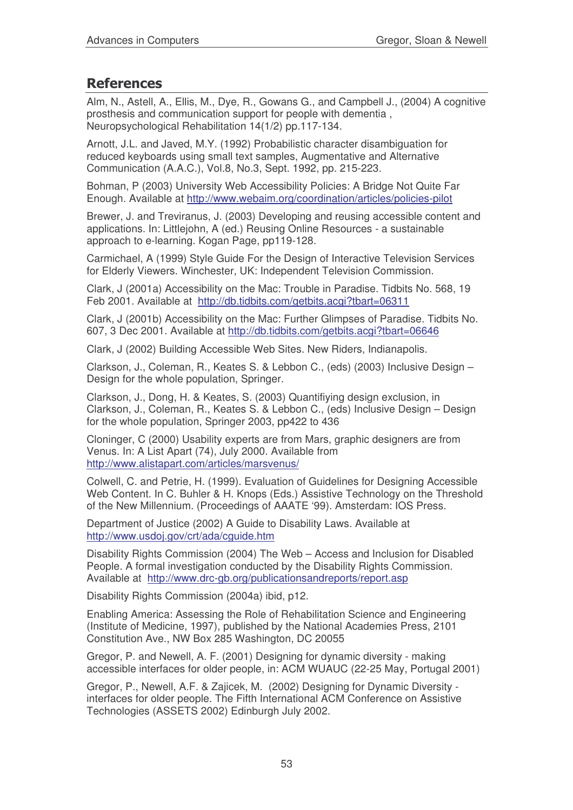### **References**

Alm, N., Astell, A., Ellis, M., Dye, R., Gowans G., and Campbell J., (2004) A cognitive prosthesis and communication support for people with dementia , Neuropsychological Rehabilitation 14(1/2) pp.117-134.

Arnott, J.L. and Javed, M.Y. (1992) Probabilistic character disambiguation for reduced keyboards using small text samples, Augmentative and Alternative Communication (A.A.C.), Vol.8, No.3, Sept. 1992, pp. 215-223.

Bohman, P (2003) University Web Accessibility Policies: A Bridge Not Quite Far Enough. Available at http://www.webaim.org/coordination/articles/policies-pilot

Brewer, J. and Treviranus, J. (2003) Developing and reusing accessible content and applications. In: Littlejohn, A (ed.) Reusing Online Resources - a sustainable approach to e-learning. Kogan Page, pp119-128.

Carmichael, A (1999) Style Guide For the Design of Interactive Television Services for Elderly Viewers. Winchester, UK: Independent Television Commission.

Clark, J (2001a) Accessibility on the Mac: Trouble in Paradise. Tidbits No. 568, 19 Feb 2001. Available at http://db.tidbits.com/getbits.acgi?tbart=06311

Clark, J (2001b) Accessibility on the Mac: Further Glimpses of Paradise. Tidbits No. 607, 3 Dec 2001. Available at http://db.tidbits.com/getbits.acgi?tbart=06646

Clark, J (2002) Building Accessible Web Sites. New Riders, Indianapolis.

Clarkson, J., Coleman, R., Keates S. & Lebbon C., (eds) (2003) Inclusive Design – Design for the whole population, Springer.

Clarkson, J., Dong, H. & Keates, S. (2003) Quantifiying design exclusion, in Clarkson, J., Coleman, R., Keates S. & Lebbon C., (eds) Inclusive Design – Design for the whole population, Springer 2003, pp422 to 436

Cloninger, C (2000) Usability experts are from Mars, graphic designers are from Venus. In: A List Apart (74), July 2000. Available from http://www.alistapart.com/articles/marsvenus/

Colwell, C. and Petrie, H. (1999). Evaluation of Guidelines for Designing Accessible Web Content. In C. Buhler & H. Knops (Eds.) Assistive Technology on the Threshold of the New Millennium. (Proceedings of AAATE '99). Amsterdam: IOS Press.

Department of Justice (2002) A Guide to Disability Laws. Available at http://www.usdoj.gov/crt/ada/cguide.htm

Disability Rights Commission (2004) The Web – Access and Inclusion for Disabled People. A formal investigation conducted by the Disability Rights Commission. Available at http://www.drc-gb.org/publicationsandreports/report.asp

Disability Rights Commission (2004a) ibid, p12.

Enabling America: Assessing the Role of Rehabilitation Science and Engineering (Institute of Medicine, 1997), published by the National Academies Press, 2101 Constitution Ave., NW Box 285 Washington, DC 20055

Gregor, P. and Newell, A. F. (2001) Designing for dynamic diversity - making accessible interfaces for older people, in: ACM WUAUC (22-25 May, Portugal 2001)

Gregor, P., Newell, A.F. & Zajicek, M. (2002) Designing for Dynamic Diversity interfaces for older people. The Fifth International ACM Conference on Assistive Technologies (ASSETS 2002) Edinburgh July 2002.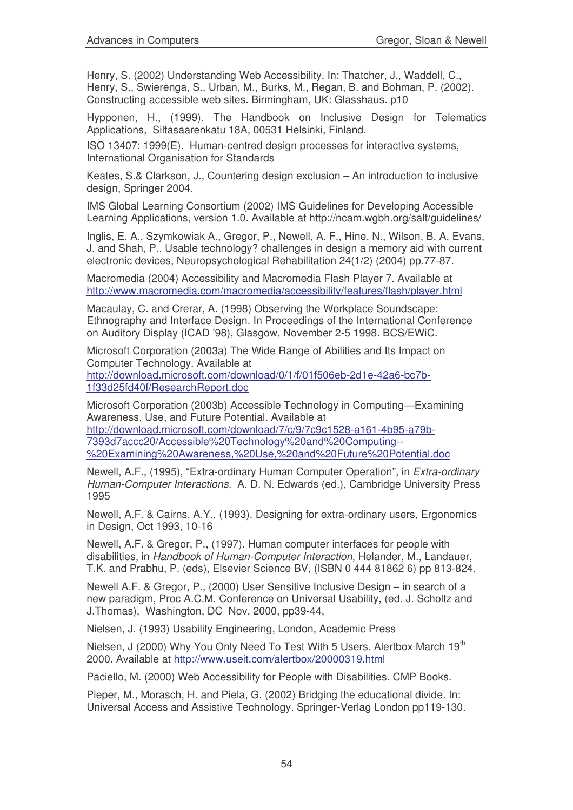Henry, S. (2002) Understanding Web Accessibility. In: Thatcher, J., Waddell, C., Henry, S., Swierenga, S., Urban, M., Burks, M., Regan, B. and Bohman, P. (2002). Constructing accessible web sites. Birmingham, UK: Glasshaus. p10

Hypponen, H., (1999). The Handbook on Inclusive Design for Telematics Applications, Siltasaarenkatu 18A, 00531 Helsinki, Finland.

ISO 13407: 1999(E). Human-centred design processes for interactive systems, International Organisation for Standards

Keates, S.& Clarkson, J., Countering design exclusion – An introduction to inclusive design, Springer 2004.

IMS Global Learning Consortium (2002) IMS Guidelines for Developing Accessible Learning Applications, version 1.0. Available at http://ncam.wgbh.org/salt/guidelines/

Inglis, E. A., Szymkowiak A., Gregor, P., Newell, A. F., Hine, N., Wilson, B. A, Evans, J. and Shah, P., Usable technology? challenges in design a memory aid with current electronic devices, Neuropsychological Rehabilitation 24(1/2) (2004) pp.77-87.

Macromedia (2004) Accessibility and Macromedia Flash Player 7. Available at http://www.macromedia.com/macromedia/accessibility/features/flash/player.html

Macaulay, C. and Crerar, A. (1998) Observing the Workplace Soundscape: Ethnography and Interface Design. In Proceedings of the International Conference on Auditory Display (ICAD '98), Glasgow, November 2-5 1998. BCS/EWiC.

Microsoft Corporation (2003a) The Wide Range of Abilities and Its Impact on Computer Technology. Available at http://download.microsoft.com/download/0/1/f/01f506eb-2d1e-42a6-bc7b-1f33d25fd40f/ResearchReport.doc

Microsoft Corporation (2003b) Accessible Technology in Computing—Examining Awareness, Use, and Future Potential. Available at http://download.microsoft.com/download/7/c/9/7c9c1528-a161-4b95-a79b-7393d7accc20/Accessible%20Technology%20and%20Computing--

%20Examining%20Awareness,%20Use,%20and%20Future%20Potential.doc

Newell, A.F., (1995), "Extra-ordinary Human Computer Operation", in *Extra-ordinary Human-Computer Interactions,* A. D. N. Edwards (ed.), Cambridge University Press 1995

Newell, A.F. & Cairns, A.Y., (1993). Designing for extra-ordinary users, Ergonomics in Design, Oct 1993, 10-16

Newell, A.F. & Gregor, P., (1997). Human computer interfaces for people with disabilities, in *Handbook of Human-Computer Interaction*, Helander, M., Landauer, T.K. and Prabhu, P. (eds), Elsevier Science BV, (ISBN 0 444 81862 6) pp 813-824.

Newell A.F. & Gregor, P., (2000) User Sensitive Inclusive Design – in search of a new paradigm, Proc A.C.M. Conference on Universal Usability, (ed. J. Scholtz and J.Thomas), Washington, DC Nov. 2000, pp39-44,

Nielsen, J. (1993) Usability Engineering, London, Academic Press

Nielsen, J (2000) Why You Only Need To Test With 5 Users. Alertbox March 19<sup>th</sup> 2000. Available at http://www.useit.com/alertbox/20000319.html

Paciello, M. (2000) Web Accessibility for People with Disabilities. CMP Books.

Pieper, M., Morasch, H. and Piela, G. (2002) Bridging the educational divide. In: Universal Access and Assistive Technology. Springer-Verlag London pp119-130.